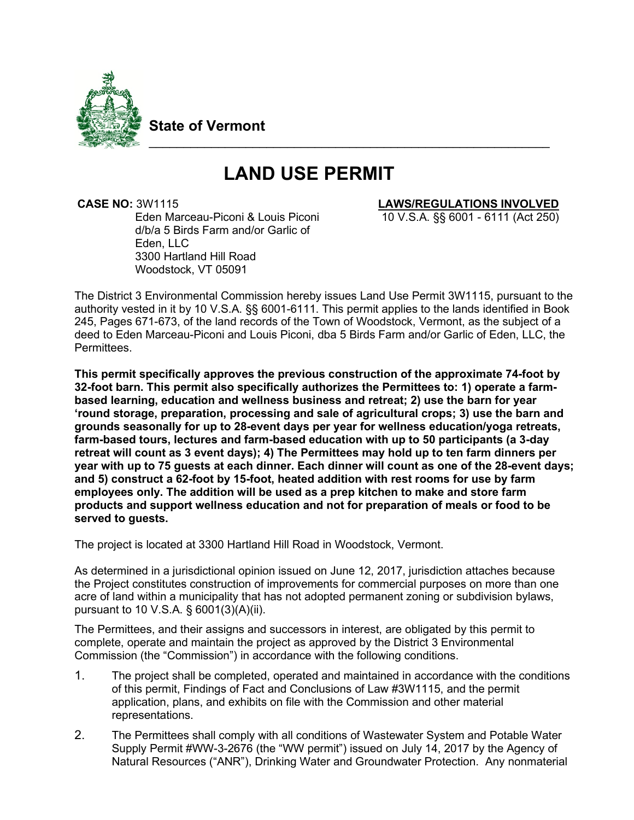

**State of Vermont**

# **LAND USE PERMIT**

\_\_\_\_\_\_\_\_\_\_\_\_\_\_\_\_\_\_\_\_\_\_\_\_\_\_\_\_\_\_\_\_\_\_\_\_\_\_\_\_\_\_\_\_\_\_\_\_\_\_\_\_\_\_\_\_\_\_

Eden Marceau-Piconi & Louis Piconi d/b/a 5 Birds Farm and/or Garlic of Eden, LLC 3300 Hartland Hill Road Woodstock, VT 05091

 **CASE NO:** 3W1115 **LAWS/REGULATIONS INVOLVED**

10 V.S.A. §§ 6001 - 6111 (Act 250)

The District 3 Environmental Commission hereby issues Land Use Permit 3W1115, pursuant to the authority vested in it by 10 V.S.A. §§ 6001-6111. This permit applies to the lands identified in Book 245, Pages 671-673, of the land records of the Town of Woodstock, Vermont, as the subject of a deed to Eden Marceau-Piconi and Louis Piconi, dba 5 Birds Farm and/or Garlic of Eden, LLC, the **Permittees** 

**This permit specifically approves the previous construction of the approximate 74-foot by 32-foot barn. This permit also specifically authorizes the Permittees to: 1) operate a farmbased learning, education and wellness business and retreat; 2) use the barn for year 'round storage, preparation, processing and sale of agricultural crops; 3) use the barn and grounds seasonally for up to 28-event days per year for wellness education/yoga retreats, farm-based tours, lectures and farm-based education with up to 50 participants (a 3-day retreat will count as 3 event days); 4) The Permittees may hold up to ten farm dinners per year with up to 75 guests at each dinner. Each dinner will count as one of the 28-event days; and 5) construct a 62-foot by 15-foot, heated addition with rest rooms for use by farm employees only. The addition will be used as a prep kitchen to make and store farm products and support wellness education and not for preparation of meals or food to be served to guests.** 

The project is located at 3300 Hartland Hill Road in Woodstock, Vermont.

As determined in a jurisdictional opinion issued on June 12, 2017, jurisdiction attaches because the Project constitutes construction of improvements for commercial purposes on more than one acre of land within a municipality that has not adopted permanent zoning or subdivision bylaws, pursuant to 10 V.S.A. § 6001(3)(A)(ii).

The Permittees, and their assigns and successors in interest, are obligated by this permit to complete, operate and maintain the project as approved by the District 3 Environmental Commission (the "Commission") in accordance with the following conditions.

- 1. The project shall be completed, operated and maintained in accordance with the conditions of this permit, Findings of Fact and Conclusions of Law #3W1115, and the permit application, plans, and exhibits on file with the Commission and other material representations.
- 2. The Permittees shall comply with all conditions of Wastewater System and Potable Water Supply Permit #WW-3-2676 (the "WW permit") issued on July 14, 2017 by the Agency of Natural Resources ("ANR"), Drinking Water and Groundwater Protection. Any nonmaterial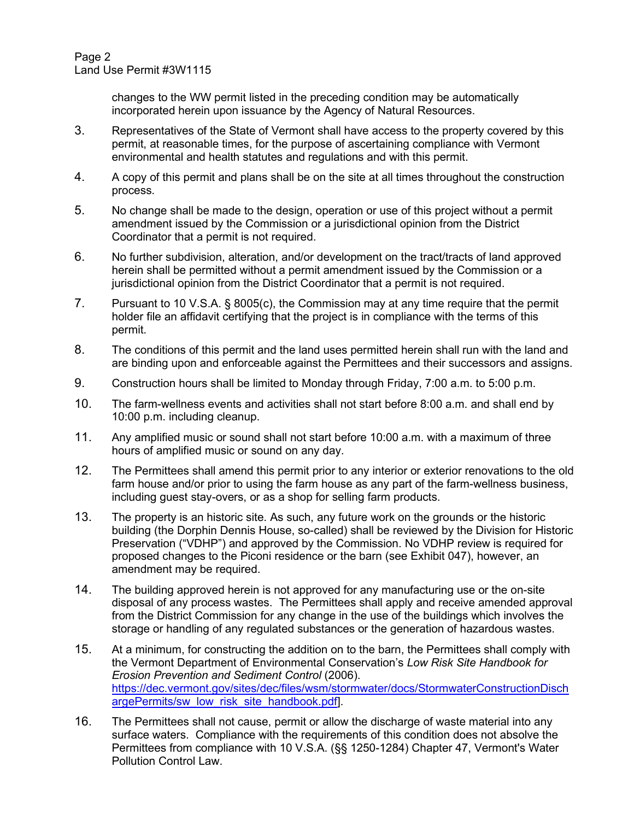Page 2 Land Use Permit #3W1115

> changes to the WW permit listed in the preceding condition may be automatically incorporated herein upon issuance by the Agency of Natural Resources.

- 3. Representatives of the State of Vermont shall have access to the property covered by this permit, at reasonable times, for the purpose of ascertaining compliance with Vermont environmental and health statutes and regulations and with this permit.
- 4. A copy of this permit and plans shall be on the site at all times throughout the construction process.
- 5. No change shall be made to the design, operation or use of this project without a permit amendment issued by the Commission or a jurisdictional opinion from the District Coordinator that a permit is not required.
- 6. No further subdivision, alteration, and/or development on the tract/tracts of land approved herein shall be permitted without a permit amendment issued by the Commission or a jurisdictional opinion from the District Coordinator that a permit is not required.
- 7. Pursuant to 10 V.S.A. § 8005(c), the Commission may at any time require that the permit holder file an affidavit certifying that the project is in compliance with the terms of this permit.
- 8. The conditions of this permit and the land uses permitted herein shall run with the land and are binding upon and enforceable against the Permittees and their successors and assigns.
- 9. Construction hours shall be limited to Monday through Friday, 7:00 a.m. to 5:00 p.m.
- 10. The farm-wellness events and activities shall not start before 8:00 a.m. and shall end by 10:00 p.m. including cleanup.
- 11. Any amplified music or sound shall not start before 10:00 a.m. with a maximum of three hours of amplified music or sound on any day.
- 12. The Permittees shall amend this permit prior to any interior or exterior renovations to the old farm house and/or prior to using the farm house as any part of the farm-wellness business, including guest stay-overs, or as a shop for selling farm products.
- 13. The property is an historic site. As such, any future work on the grounds or the historic building (the Dorphin Dennis House, so-called) shall be reviewed by the Division for Historic Preservation ("VDHP") and approved by the Commission. No VDHP review is required for proposed changes to the Piconi residence or the barn (see Exhibit 047), however, an amendment may be required.
- 14. The building approved herein is not approved for any manufacturing use or the on-site disposal of any process wastes. The Permittees shall apply and receive amended approval from the District Commission for any change in the use of the buildings which involves the storage or handling of any regulated substances or the generation of hazardous wastes.
- 15. At a minimum, for constructing the addition on to the barn, the Permittees shall comply with the Vermont Department of Environmental Conservation's *Low Risk Site Handbook for Erosion Prevention and Sediment Control* (2006). [https://dec.vermont.gov/sites/dec/files/wsm/stormwater/docs/StormwaterConstructionDisch](https://dec.vermont.gov/sites/dec/files/wsm/stormwater/docs/StormwaterConstructionDischargePermits/sw_low_risk_site_handbook.pdf) [argePermits/sw\\_low\\_risk\\_site\\_handbook.pdf\]](https://dec.vermont.gov/sites/dec/files/wsm/stormwater/docs/StormwaterConstructionDischargePermits/sw_low_risk_site_handbook.pdf).
- 16. The Permittees shall not cause, permit or allow the discharge of waste material into any surface waters. Compliance with the requirements of this condition does not absolve the Permittees from compliance with 10 V.S.A. (§§ 1250-1284) Chapter 47, Vermont's Water Pollution Control Law.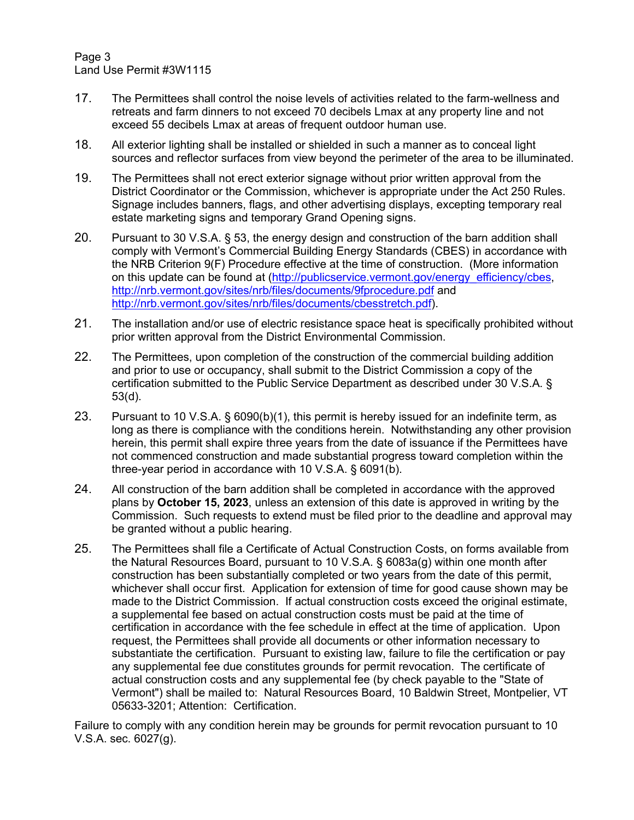Page 3 Land Use Permit #3W1115

- 17. The Permittees shall control the noise levels of activities related to the farm-wellness and retreats and farm dinners to not exceed 70 decibels Lmax at any property line and not exceed 55 decibels Lmax at areas of frequent outdoor human use.
- 18. All exterior lighting shall be installed or shielded in such a manner as to conceal light sources and reflector surfaces from view beyond the perimeter of the area to be illuminated.
- 19. The Permittees shall not erect exterior signage without prior written approval from the District Coordinator or the Commission, whichever is appropriate under the Act 250 Rules. Signage includes banners, flags, and other advertising displays, excepting temporary real estate marketing signs and temporary Grand Opening signs.
- 20. Pursuant to 30 V.S.A. § 53, the energy design and construction of the barn addition shall comply with Vermont's Commercial Building Energy Standards (CBES) in accordance with the NRB Criterion 9(F) Procedure effective at the time of construction. (More information on this update can be found at [\(http://publicservice.vermont.gov/energy\\_efficiency/cbes,](http://publicservice.vermont.gov/energy_efficiency/cbes) <http://nrb.vermont.gov/sites/nrb/files/documents/9fprocedure.pdf> and [http://nrb.vermont.gov/sites/nrb/files/documents/cbesstretch.pdf\)](http://nrb.vermont.gov/sites/nrb/files/documents/cbesstretch.pdf).
- 21. The installation and/or use of electric resistance space heat is specifically prohibited without prior written approval from the District Environmental Commission.
- 22. The Permittees, upon completion of the construction of the commercial building addition and prior to use or occupancy, shall submit to the District Commission a copy of the certification submitted to the Public Service Department as described under 30 V.S.A. § 53(d).
- 23. Pursuant to 10 V.S.A. § 6090(b)(1), this permit is hereby issued for an indefinite term, as long as there is compliance with the conditions herein. Notwithstanding any other provision herein, this permit shall expire three years from the date of issuance if the Permittees have not commenced construction and made substantial progress toward completion within the three-year period in accordance with 10 V.S.A. § 6091(b).
- 24. All construction of the barn addition shall be completed in accordance with the approved plans by **October 15, 2023**, unless an extension of this date is approved in writing by the Commission. Such requests to extend must be filed prior to the deadline and approval may be granted without a public hearing.
- 25. The Permittees shall file a Certificate of Actual Construction Costs, on forms available from the Natural Resources Board, pursuant to 10 V.S.A. § 6083a(g) within one month after construction has been substantially completed or two years from the date of this permit, whichever shall occur first. Application for extension of time for good cause shown may be made to the District Commission. If actual construction costs exceed the original estimate, a supplemental fee based on actual construction costs must be paid at the time of certification in accordance with the fee schedule in effect at the time of application. Upon request, the Permittees shall provide all documents or other information necessary to substantiate the certification. Pursuant to existing law, failure to file the certification or pay any supplemental fee due constitutes grounds for permit revocation. The certificate of actual construction costs and any supplemental fee (by check payable to the "State of Vermont") shall be mailed to: Natural Resources Board, 10 Baldwin Street, Montpelier, VT 05633-3201; Attention: Certification.

Failure to comply with any condition herein may be grounds for permit revocation pursuant to 10 V.S.A. sec. 6027(g).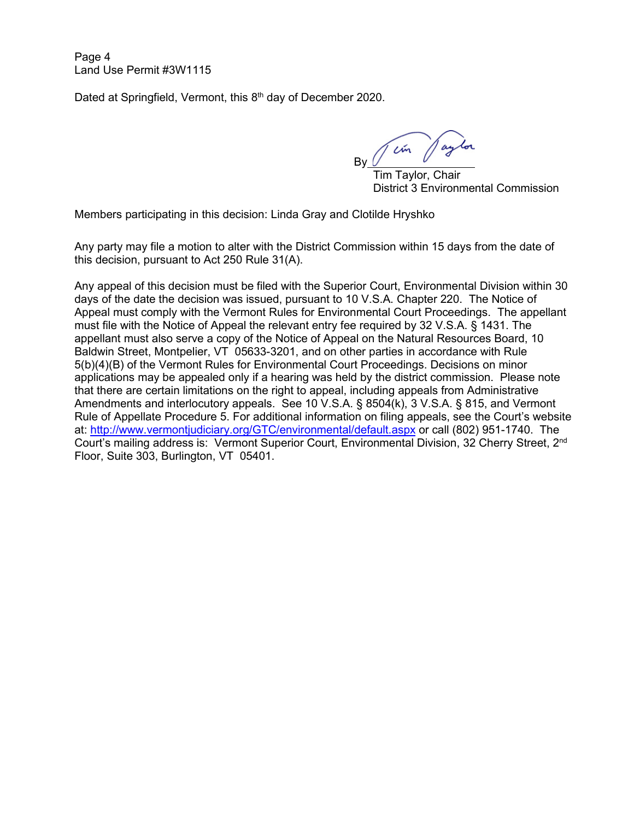Page 4 Land Use Permit #3W1115

Dated at Springfield, Vermont, this 8<sup>th</sup> day of December 2020.

in pay By

 Tim Taylor, Chair District 3 Environmental Commission

Members participating in this decision: Linda Gray and Clotilde Hryshko

Any party may file a motion to alter with the District Commission within 15 days from the date of this decision, pursuant to Act 250 Rule 31(A).

Any appeal of this decision must be filed with the Superior Court, Environmental Division within 30 days of the date the decision was issued, pursuant to 10 V.S.A. Chapter 220. The Notice of Appeal must comply with the Vermont Rules for Environmental Court Proceedings. The appellant must file with the Notice of Appeal the relevant entry fee required by 32 V.S.A. § 1431. The appellant must also serve a copy of the Notice of Appeal on the Natural Resources Board, 10 Baldwin Street, Montpelier, VT 05633-3201, and on other parties in accordance with Rule 5(b)(4)(B) of the Vermont Rules for Environmental Court Proceedings. Decisions on minor applications may be appealed only if a hearing was held by the district commission. Please note that there are certain limitations on the right to appeal, including appeals from Administrative Amendments and interlocutory appeals. See 10 V.S.A. § 8504(k), 3 V.S.A. § 815, and Vermont Rule of Appellate Procedure 5. For additional information on filing appeals, see the Court's website at:<http://www.vermontjudiciary.org/GTC/environmental/default.aspx> or call (802) 951-1740. The Court's mailing address is: Vermont Superior Court, Environmental Division, 32 Cherry Street, 2<sup>nd</sup> Floor, Suite 303, Burlington, VT 05401.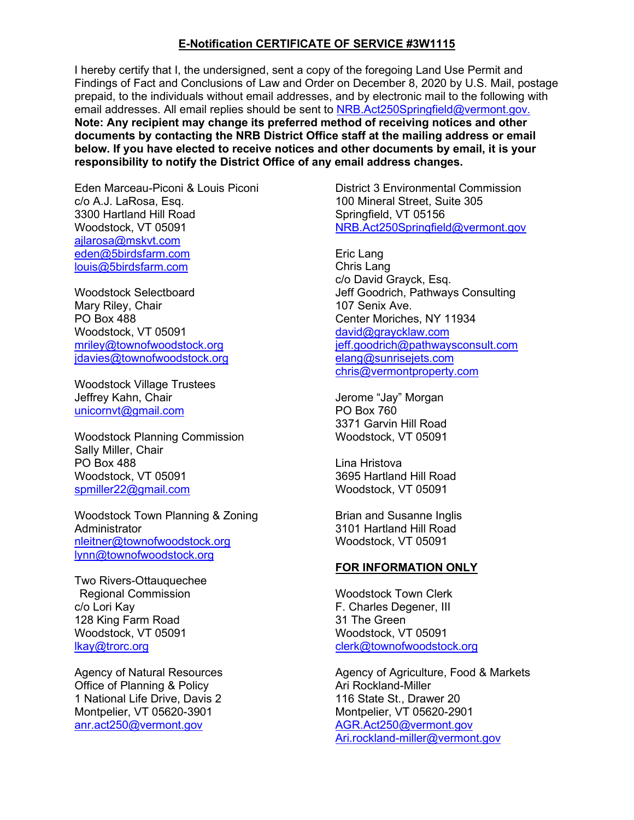## **E-Notification CERTIFICATE OF SERVICE #3W1115**

I hereby certify that I, the undersigned, sent a copy of the foregoing Land Use Permit and Findings of Fact and Conclusions of Law and Order on December 8, 2020 by U.S. Mail, postage prepaid, to the individuals without email addresses, and by electronic mail to the following with email addresses. All email replies should be sent to [NRB.Act250Springfield@vermont.gov.](mailto:NRB.Act250Springfield@vermont.gov.) **Note: Any recipient may change its preferred method of receiving notices and other documents by contacting the NRB District Office staff at the mailing address or email below. If you have elected to receive notices and other documents by email, it is your responsibility to notify the District Office of any email address changes.**

Eden Marceau-Piconi & Louis Piconi c/o A.J. LaRosa, Esq. 3300 Hartland Hill Road Woodstock, VT 05091 [ajlarosa@mskvt.com](mailto:ajlarosa@mskvt.com) [eden@5birdsfarm.com](mailto:eden@5birdsfarm.com) [louis@5birdsfarm.com](mailto:louis@5birdsfarm.com)

Woodstock Selectboard Mary Riley, Chair PO Box 488 Woodstock, VT 05091 [mriley@townofwoodstock.org](mailto:mriley@townofwoodstock.org) [jdavies@townofwoodstock.org](mailto:jdavies@townofwoodstock.org)

Woodstock Village Trustees Jeffrey Kahn, Chair [unicornvt@gmail.com](mailto:unicornvt@gmail.com)

Woodstock Planning Commission Sally Miller, Chair PO Box 488 Woodstock, VT 05091 [spmiller22@gmail.com](mailto:spmiller22@gmail.com)

Woodstock Town Planning & Zoning Administrator [nleitner@townofwoodstock.org](mailto:mbrands@townofwoodstock.org) [lynn@townofwoodstock.org](mailto:lynn@townofwoodstock.org)

Two Rivers-Ottauquechee Regional Commission c/o Lori Kay 128 King Farm Road Woodstock, VT 05091 [lkay@trorc.org](mailto:lkay@trorc.org)

Agency of Natural Resources Office of Planning & Policy 1 National Life Drive, Davis 2 Montpelier, VT 05620-3901 anr.act250@vermont.gov

District 3 Environmental Commission 100 Mineral Street, Suite 305 Springfield, VT 05156 [NRB.Act250Springfield@vermont.gov](mailto:NRB.Act250Springfield@vermont.gov)

Eric Lang Chris Lang c/o David Grayck, Esq. Jeff Goodrich, Pathways Consulting 107 Senix Ave. Center Moriches, NY 11934 [david@graycklaw.com](mailto:david@graycklaw.com) [jeff.goodrich@pathwaysconsult.com](mailto:jeff.goodrich@pathwaysconsult.com) [elang@sunrisejets.com](mailto:elang@sunrisejets.com) [chris@vermontproperty.com](mailto:chris@vermontproperty.com)

Jerome "Jay" Morgan PO Box 760 3371 Garvin Hill Road Woodstock, VT 05091

Lina Hristova 3695 Hartland Hill Road Woodstock, VT 05091

Brian and Susanne Inglis 3101 Hartland Hill Road Woodstock, VT 05091

## **FOR INFORMATION ONLY**

Woodstock Town Clerk F. Charles Degener, III 31 The Green Woodstock, VT 05091 [clerk@townofwoodstock.org](mailto:clerk@townofwoodstock.org)

Agency of Agriculture, Food & Markets Ari Rockland-Miller 116 State St., Drawer 20 Montpelier, VT 05620-2901 [AGR.Act250@v](mailto:AGR.Act250@)ermont.gov [Ari.rockland-miller@vermont.gov](mailto:Ari.rockland-miller@vermont.gov)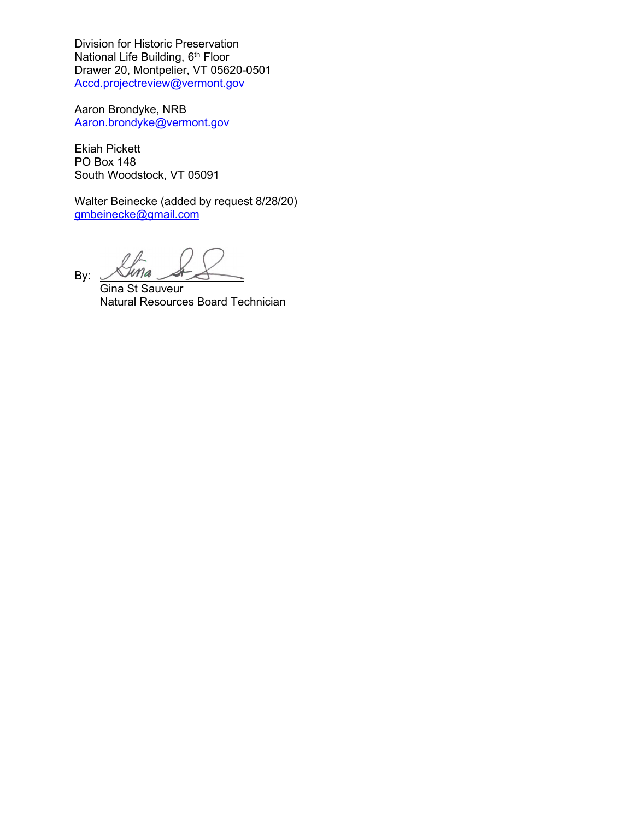Division for Historic Preservation National Life Building, 6<sup>th</sup> Floor Drawer 20, Montpelier, VT 05620-0501 [Accd.projectreview@vermont.gov](mailto:Accd.projectreview@vermont.gov)

Aaron Brondyke, NRB [Aaron.brondyke@vermont.gov](mailto:Aaron.brondyke@vermont.gov)

Ekiah Pickett PO Box 148 South Woodstock, VT 05091

Walter Beinecke (added by request 8/28/20) [gmbeinecke@gmail.com](mailto:gmbeinecke@gmail.com)

By:

 Gina St Sauveur Natural Resources Board Technician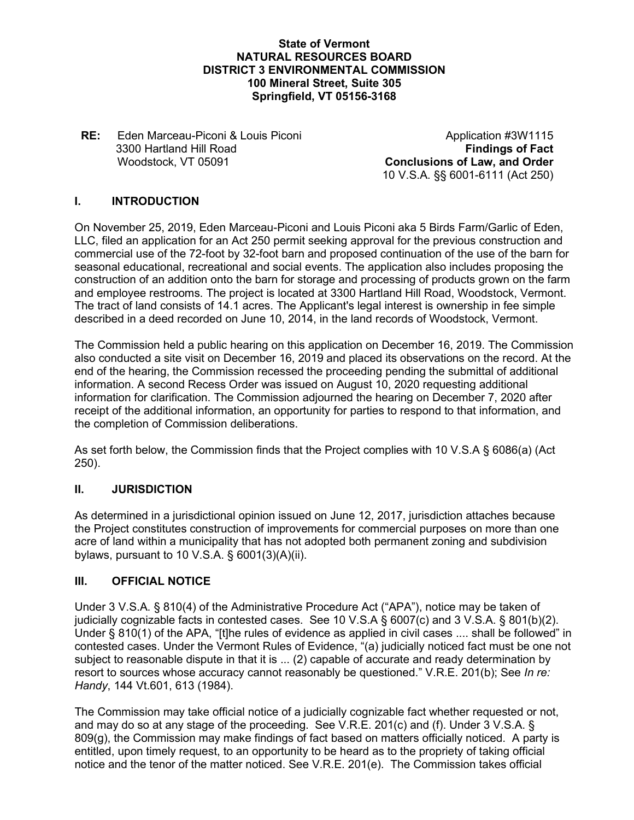#### **State of Vermont NATURAL RESOURCES BOARD DISTRICT 3 ENVIRONMENTAL COMMISSION 100 Mineral Street, Suite 305 Springfield, VT 05156-3168**

#### **RE:** Eden Marceau-Piconi & Louis Piconi 3300 Hartland Hill Road Woodstock, VT 05091 **Conclusions of Law, and Order**

Application #3W1115 **Findings of Fact** 10 V.S.A. §§ 6001-6111 (Act 250)

# **I. INTRODUCTION**

On November 25, 2019, Eden Marceau-Piconi and Louis Piconi aka 5 Birds Farm/Garlic of Eden, LLC, filed an application for an Act 250 permit seeking approval for the previous construction and commercial use of the 72-foot by 32-foot barn and proposed continuation of the use of the barn for seasonal educational, recreational and social events. The application also includes proposing the construction of an addition onto the barn for storage and processing of products grown on the farm and employee restrooms. The project is located at 3300 Hartland Hill Road, Woodstock, Vermont. The tract of land consists of 14.1 acres. The Applicant's legal interest is ownership in fee simple described in a deed recorded on June 10, 2014, in the land records of Woodstock, Vermont.

The Commission held a public hearing on this application on December 16, 2019. The Commission also conducted a site visit on December 16, 2019 and placed its observations on the record. At the end of the hearing, the Commission recessed the proceeding pending the submittal of additional information. A second Recess Order was issued on August 10, 2020 requesting additional information for clarification. The Commission adjourned the hearing on December 7, 2020 after receipt of the additional information, an opportunity for parties to respond to that information, and the completion of Commission deliberations.

As set forth below, the Commission finds that the Project complies with 10 V.S.A § 6086(a) (Act 250).

## **II. JURISDICTION**

As determined in a jurisdictional opinion issued on June 12, 2017, jurisdiction attaches because the Project constitutes construction of improvements for commercial purposes on more than one acre of land within a municipality that has not adopted both permanent zoning and subdivision bylaws, pursuant to 10 V.S.A. § 6001(3)(A)(ii).

## **III. OFFICIAL NOTICE**

Under 3 V.S.A. § 810(4) of the Administrative Procedure Act ("APA"), notice may be taken of judicially cognizable facts in contested cases. See 10 V.S.A § 6007(c) and 3 V.S.A. § 801(b)(2). Under § 810(1) of the APA, "[t]he rules of evidence as applied in civil cases .... shall be followed" in contested cases. Under the Vermont Rules of Evidence, "(a) judicially noticed fact must be one not subject to reasonable dispute in that it is ... (2) capable of accurate and ready determination by resort to sources whose accuracy cannot reasonably be questioned." V.R.E. 201(b); See *In re: Handy*, 144 Vt.601, 613 (1984).

The Commission may take official notice of a judicially cognizable fact whether requested or not, and may do so at any stage of the proceeding. See V.R.E. 201(c) and (f). Under 3 V.S.A. § 809(g), the Commission may make findings of fact based on matters officially noticed. A party is entitled, upon timely request, to an opportunity to be heard as to the propriety of taking official notice and the tenor of the matter noticed. See V.R.E. 201(e). The Commission takes official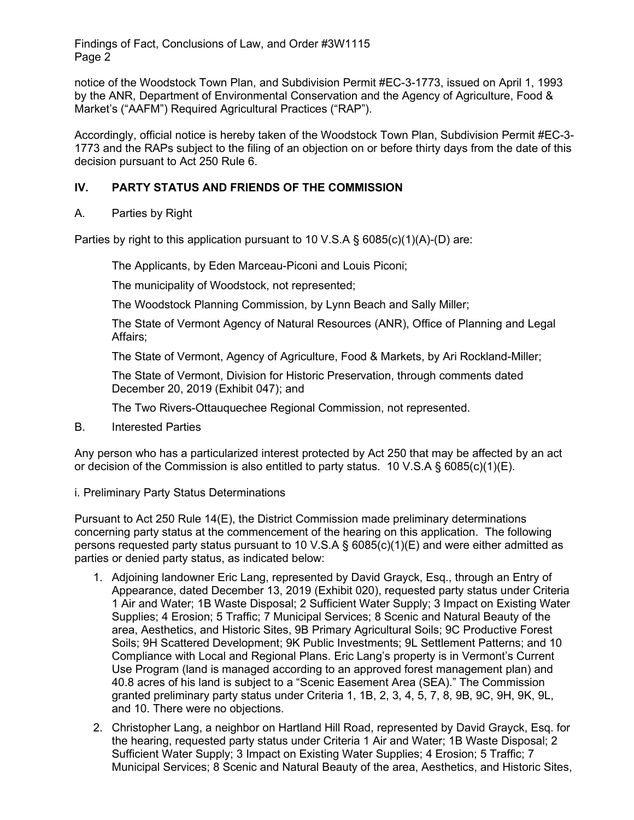notice of the Woodstock Town Plan, and Subdivision Permit #EC-3-1773, issued on April 1, 1993 by the ANR, Department of Environmental Conservation and the Agency of Agriculture, Food & Market's ("AAFM") Required Agricultural Practices ("RAP").

Accordingly, official notice is hereby taken of the Woodstock Town Plan, Subdivision Permit #EC-3- 1773 and the RAPs subject to the filing of an objection on or before thirty days from the date of this decision pursuant to Act 250 Rule 6.

# **IV. PARTY STATUS AND FRIENDS OF THE COMMISSION**

## A. Parties by Right

Parties by right to this application pursuant to 10 V.S.A § 6085(c)(1)(A)-(D) are:

The Applicants, by Eden Marceau-Piconi and Louis Piconi;

The municipality of Woodstock, not represented;

The Woodstock Planning Commission, by Lynn Beach and Sally Miller;

The State of Vermont Agency of Natural Resources (ANR), Office of Planning and Legal Affairs;

The State of Vermont, Agency of Agriculture, Food & Markets, by Ari Rockland-Miller;

The State of Vermont, Division for Historic Preservation, through comments dated December 20, 2019 (Exhibit 047); and

The Two Rivers-Ottauquechee Regional Commission, not represented.

B. Interested Parties

Any person who has a particularized interest protected by Act 250 that may be affected by an act or decision of the Commission is also entitled to party status. 10 V.S.A  $\S$  6085(c)(1)(E).

#### i. Preliminary Party Status Determinations

Pursuant to Act 250 Rule 14(E), the District Commission made preliminary determinations concerning party status at the commencement of the hearing on this application. The following persons requested party status pursuant to 10 V.S.A  $\S$  6085(c)(1)(E) and were either admitted as parties or denied party status, as indicated below:

- 1. Adjoining landowner Eric Lang, represented by David Grayck, Esq., through an Entry of Appearance, dated December 13, 2019 (Exhibit 020), requested party status under Criteria 1 Air and Water; 1B Waste Disposal; 2 Sufficient Water Supply; 3 Impact on Existing Water Supplies; 4 Erosion; 5 Traffic; 7 Municipal Services; 8 Scenic and Natural Beauty of the area, Aesthetics, and Historic Sites, 9B Primary Agricultural Soils; 9C Productive Forest Soils; 9H Scattered Development; 9K Public Investments; 9L Settlement Patterns; and 10 Compliance with Local and Regional Plans. Eric Lang's property is in Vermont's Current Use Program (land is managed according to an approved forest management plan) and 40.8 acres of his land is subject to a "Scenic Easement Area (SEA)." The Commission granted preliminary party status under Criteria 1, 1B, 2, 3, 4, 5, 7, 8, 9B, 9C, 9H, 9K, 9L, and 10. There were no objections.
- 2. Christopher Lang, a neighbor on Hartland Hill Road, represented by David Grayck, Esq. for the hearing, requested party status under Criteria 1 Air and Water; 1B Waste Disposal; 2 Sufficient Water Supply; 3 Impact on Existing Water Supplies; 4 Erosion; 5 Traffic; 7 Municipal Services; 8 Scenic and Natural Beauty of the area, Aesthetics, and Historic Sites,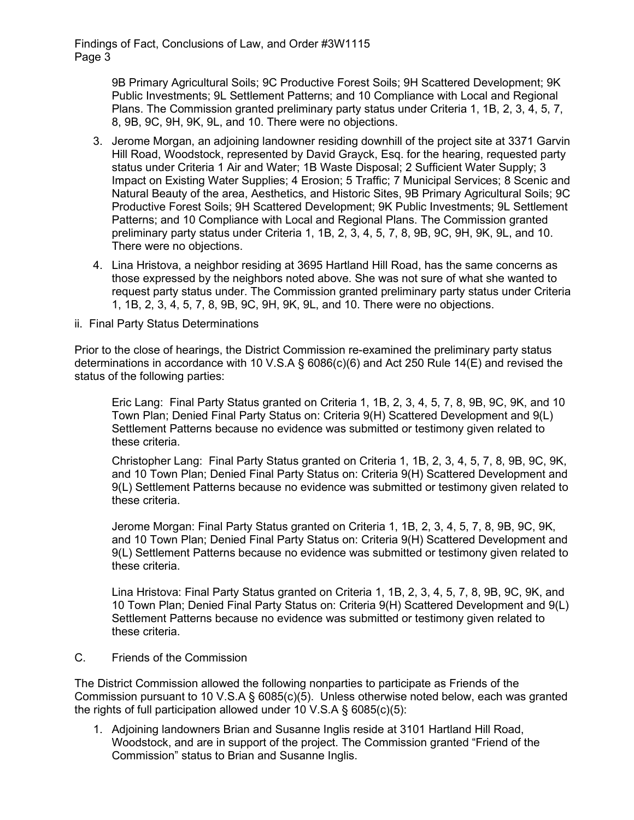> 9B Primary Agricultural Soils; 9C Productive Forest Soils; 9H Scattered Development; 9K Public Investments; 9L Settlement Patterns; and 10 Compliance with Local and Regional Plans. The Commission granted preliminary party status under Criteria 1, 1B, 2, 3, 4, 5, 7, 8, 9B, 9C, 9H, 9K, 9L, and 10. There were no objections.

- 3. Jerome Morgan, an adjoining landowner residing downhill of the project site at 3371 Garvin Hill Road, Woodstock, represented by David Grayck, Esq. for the hearing, requested party status under Criteria 1 Air and Water; 1B Waste Disposal; 2 Sufficient Water Supply; 3 Impact on Existing Water Supplies; 4 Erosion; 5 Traffic; 7 Municipal Services; 8 Scenic and Natural Beauty of the area, Aesthetics, and Historic Sites, 9B Primary Agricultural Soils; 9C Productive Forest Soils; 9H Scattered Development; 9K Public Investments; 9L Settlement Patterns; and 10 Compliance with Local and Regional Plans. The Commission granted preliminary party status under Criteria 1, 1B, 2, 3, 4, 5, 7, 8, 9B, 9C, 9H, 9K, 9L, and 10. There were no objections.
- 4. Lina Hristova, a neighbor residing at 3695 Hartland Hill Road, has the same concerns as those expressed by the neighbors noted above. She was not sure of what she wanted to request party status under. The Commission granted preliminary party status under Criteria 1, 1B, 2, 3, 4, 5, 7, 8, 9B, 9C, 9H, 9K, 9L, and 10. There were no objections.
- ii. Final Party Status Determinations

Prior to the close of hearings, the District Commission re-examined the preliminary party status determinations in accordance with 10 V.S.A § 6086(c)(6) and Act 250 Rule 14(E) and revised the status of the following parties:

Eric Lang: Final Party Status granted on Criteria 1, 1B, 2, 3, 4, 5, 7, 8, 9B, 9C, 9K, and 10 Town Plan; Denied Final Party Status on: Criteria 9(H) Scattered Development and 9(L) Settlement Patterns because no evidence was submitted or testimony given related to these criteria.

Christopher Lang: Final Party Status granted on Criteria 1, 1B, 2, 3, 4, 5, 7, 8, 9B, 9C, 9K, and 10 Town Plan; Denied Final Party Status on: Criteria 9(H) Scattered Development and 9(L) Settlement Patterns because no evidence was submitted or testimony given related to these criteria.

Jerome Morgan: Final Party Status granted on Criteria 1, 1B, 2, 3, 4, 5, 7, 8, 9B, 9C, 9K, and 10 Town Plan; Denied Final Party Status on: Criteria 9(H) Scattered Development and 9(L) Settlement Patterns because no evidence was submitted or testimony given related to these criteria.

Lina Hristova: Final Party Status granted on Criteria 1, 1B, 2, 3, 4, 5, 7, 8, 9B, 9C, 9K, and 10 Town Plan; Denied Final Party Status on: Criteria 9(H) Scattered Development and 9(L) Settlement Patterns because no evidence was submitted or testimony given related to these criteria.

C. Friends of the Commission

The District Commission allowed the following nonparties to participate as Friends of the Commission pursuant to 10 V.S.A § 6085(c)(5). Unless otherwise noted below, each was granted the rights of full participation allowed under 10 V.S.A  $\S$  6085(c)(5):

1. Adjoining landowners Brian and Susanne Inglis reside at 3101 Hartland Hill Road, Woodstock, and are in support of the project. The Commission granted "Friend of the Commission" status to Brian and Susanne Inglis.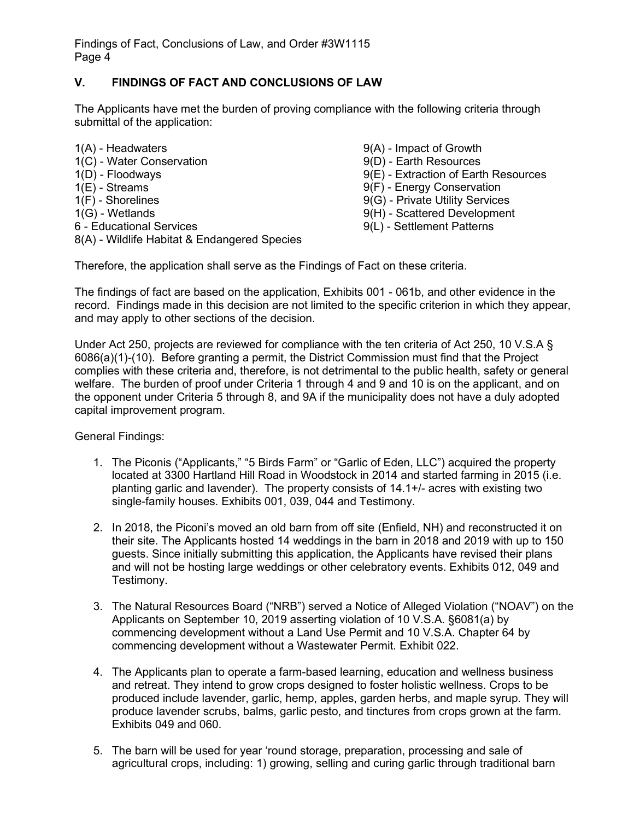# **V. FINDINGS OF FACT AND CONCLUSIONS OF LAW**

The Applicants have met the burden of proving compliance with the following criteria through submittal of the application:

| 1(A) - Headwaters                            | 9(A) - Impact of Growth              |
|----------------------------------------------|--------------------------------------|
| 1(C) - Water Conservation                    | 9(D) - Earth Resources               |
| $1(D)$ - Floodways                           | 9(E) - Extraction of Earth Resources |
| $1(E)$ - Streams                             | 9(F) - Energy Conservation           |
| $1(F)$ - Shorelines                          | 9(G) - Private Utility Services      |
| $1(G)$ - Wetlands                            | 9(H) - Scattered Development         |
| 6 - Educational Services                     | 9(L) - Settlement Patterns           |
| 8(A) - Wildlife Habitat & Endangered Species |                                      |

Therefore, the application shall serve as the Findings of Fact on these criteria.

The findings of fact are based on the application, Exhibits 001 - 061b, and other evidence in the record. Findings made in this decision are not limited to the specific criterion in which they appear, and may apply to other sections of the decision.

Under Act 250, projects are reviewed for compliance with the ten criteria of Act 250, 10 V.S.A § 6086(a)(1)-(10). Before granting a permit, the District Commission must find that the Project complies with these criteria and, therefore, is not detrimental to the public health, safety or general welfare. The burden of proof under Criteria 1 through 4 and 9 and 10 is on the applicant, and on the opponent under Criteria 5 through 8, and 9A if the municipality does not have a duly adopted capital improvement program.

General Findings:

- 1. The Piconis ("Applicants," "5 Birds Farm" or "Garlic of Eden, LLC") acquired the property located at 3300 Hartland Hill Road in Woodstock in 2014 and started farming in 2015 (i.e. planting garlic and lavender). The property consists of 14.1+/- acres with existing two single-family houses. Exhibits 001, 039, 044 and Testimony.
- 2. In 2018, the Piconi's moved an old barn from off site (Enfield, NH) and reconstructed it on their site. The Applicants hosted 14 weddings in the barn in 2018 and 2019 with up to 150 guests. Since initially submitting this application, the Applicants have revised their plans and will not be hosting large weddings or other celebratory events. Exhibits 012, 049 and Testimony.
- 3. The Natural Resources Board ("NRB") served a Notice of Alleged Violation ("NOAV") on the Applicants on September 10, 2019 asserting violation of 10 V.S.A. §6081(a) by commencing development without a Land Use Permit and 10 V.S.A. Chapter 64 by commencing development without a Wastewater Permit. Exhibit 022.
- 4. The Applicants plan to operate a farm-based learning, education and wellness business and retreat. They intend to grow crops designed to foster holistic wellness. Crops to be produced include lavender, garlic, hemp, apples, garden herbs, and maple syrup. They will produce lavender scrubs, balms, garlic pesto, and tinctures from crops grown at the farm. Exhibits 049 and 060.
- 5. The barn will be used for year 'round storage, preparation, processing and sale of agricultural crops, including: 1) growing, selling and curing garlic through traditional barn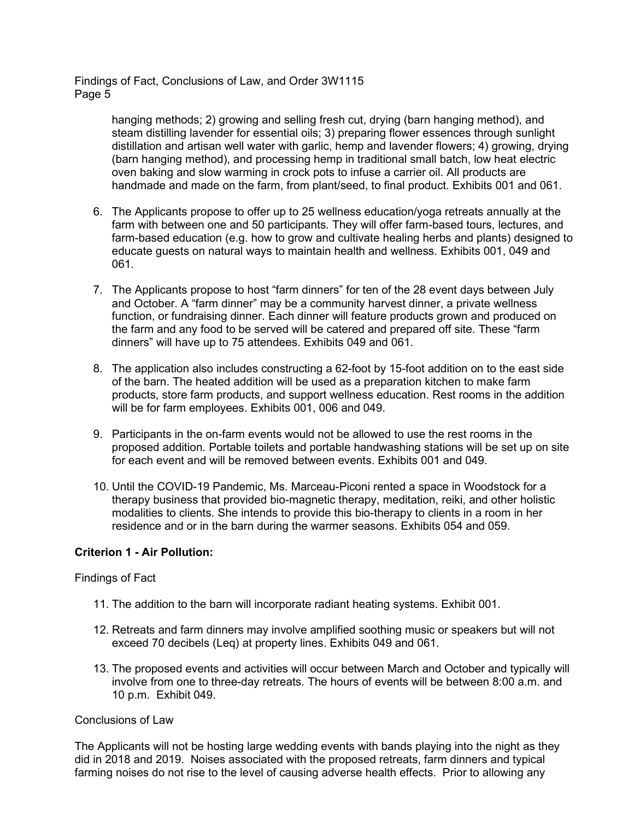> hanging methods; 2) growing and selling fresh cut, drying (barn hanging method), and steam distilling lavender for essential oils; 3) preparing flower essences through sunlight distillation and artisan well water with garlic, hemp and lavender flowers; 4) growing, drying (barn hanging method), and processing hemp in traditional small batch, low heat electric oven baking and slow warming in crock pots to infuse a carrier oil. All products are handmade and made on the farm, from plant/seed, to final product. Exhibits 001 and 061.

- 6. The Applicants propose to offer up to 25 wellness education/yoga retreats annually at the farm with between one and 50 participants. They will offer farm-based tours, lectures, and farm-based education (e.g. how to grow and cultivate healing herbs and plants) designed to educate guests on natural ways to maintain health and wellness. Exhibits 001, 049 and 061.
- 7. The Applicants propose to host "farm dinners" for ten of the 28 event days between July and October. A "farm dinner" may be a community harvest dinner, a private wellness function, or fundraising dinner. Each dinner will feature products grown and produced on the farm and any food to be served will be catered and prepared off site. These "farm dinners" will have up to 75 attendees. Exhibits 049 and 061.
- 8. The application also includes constructing a 62-foot by 15-foot addition on to the east side of the barn. The heated addition will be used as a preparation kitchen to make farm products, store farm products, and support wellness education. Rest rooms in the addition will be for farm employees. Exhibits 001, 006 and 049.
- 9. Participants in the on-farm events would not be allowed to use the rest rooms in the proposed addition. Portable toilets and portable handwashing stations will be set up on site for each event and will be removed between events. Exhibits 001 and 049.
- 10. Until the COVID-19 Pandemic, Ms. Marceau-Piconi rented a space in Woodstock for a therapy business that provided bio-magnetic therapy, meditation, reiki, and other holistic modalities to clients. She intends to provide this bio-therapy to clients in a room in her residence and or in the barn during the warmer seasons. Exhibits 054 and 059.

## **Criterion 1 - Air Pollution:**

#### Findings of Fact

- 11. The addition to the barn will incorporate radiant heating systems. Exhibit 001.
- 12. Retreats and farm dinners may involve amplified soothing music or speakers but will not exceed 70 decibels (Leq) at property lines. Exhibits 049 and 061.
- 13. The proposed events and activities will occur between March and October and typically will involve from one to three-day retreats. The hours of events will be between 8:00 a.m. and 10 p.m. Exhibit 049.

#### Conclusions of Law

The Applicants will not be hosting large wedding events with bands playing into the night as they did in 2018 and 2019. Noises associated with the proposed retreats, farm dinners and typical farming noises do not rise to the level of causing adverse health effects. Prior to allowing any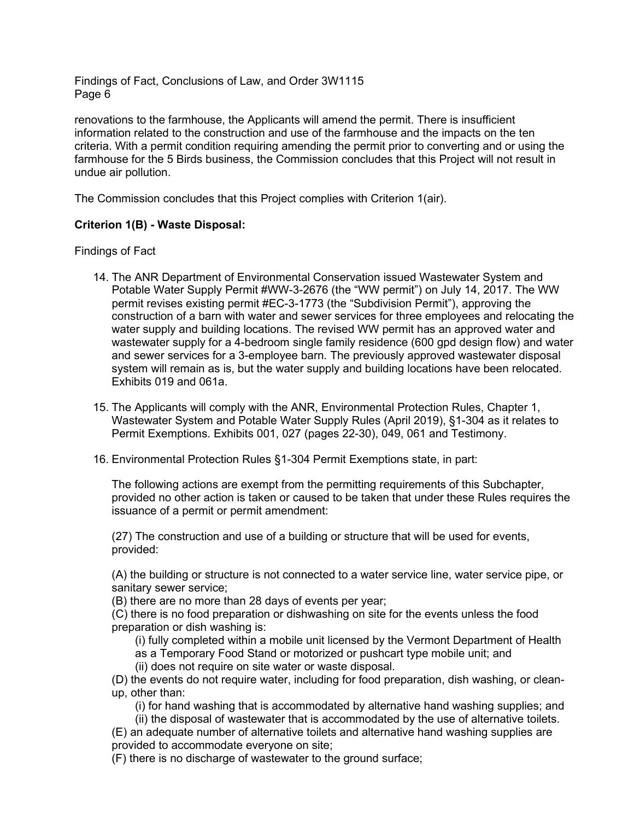renovations to the farmhouse, the Applicants will amend the permit. There is insufficient information related to the construction and use of the farmhouse and the impacts on the ten criteria. With a permit condition requiring amending the permit prior to converting and or using the farmhouse for the 5 Birds business, the Commission concludes that this Project will not result in undue air pollution.

The Commission concludes that this Project complies with Criterion 1(air).

## **Criterion 1(B) - Waste Disposal:**

Findings of Fact

- 14. The ANR Department of Environmental Conservation issued Wastewater System and Potable Water Supply Permit #WW-3-2676 (the "WW permit") on July 14, 2017. The WW permit revises existing permit #EC-3-1773 (the "Subdivision Permit"), approving the construction of a barn with water and sewer services for three employees and relocating the water supply and building locations. The revised WW permit has an approved water and wastewater supply for a 4-bedroom single family residence (600 gpd design flow) and water and sewer services for a 3-employee barn. The previously approved wastewater disposal system will remain as is, but the water supply and building locations have been relocated. Exhibits 019 and 061a.
- 15. The Applicants will comply with the ANR, Environmental Protection Rules, Chapter 1, Wastewater System and Potable Water Supply Rules (April 2019), §1-304 as it relates to Permit Exemptions. Exhibits 001, 027 (pages 22-30), 049, 061 and Testimony.
- 16. Environmental Protection Rules §1-304 Permit Exemptions state, in part:

The following actions are exempt from the permitting requirements of this Subchapter, provided no other action is taken or caused to be taken that under these Rules requires the issuance of a permit or permit amendment:

(27) The construction and use of a building or structure that will be used for events, provided:

(A) the building or structure is not connected to a water service line, water service pipe, or sanitary sewer service;

(B) there are no more than 28 days of events per year;

(C) there is no food preparation or dishwashing on site for the events unless the food preparation or dish washing is:

(i) fully completed within a mobile unit licensed by the Vermont Department of Health as a Temporary Food Stand or motorized or pushcart type mobile unit; and (ii) does not require on site water or waste disposal.

(D) the events do not require water, including for food preparation, dish washing, or cleanup, other than:

(i) for hand washing that is accommodated by alternative hand washing supplies; and

- (ii) the disposal of wastewater that is accommodated by the use of alternative toilets. (E) an adequate number of alternative toilets and alternative hand washing supplies are
- provided to accommodate everyone on site;
- (F) there is no discharge of wastewater to the ground surface;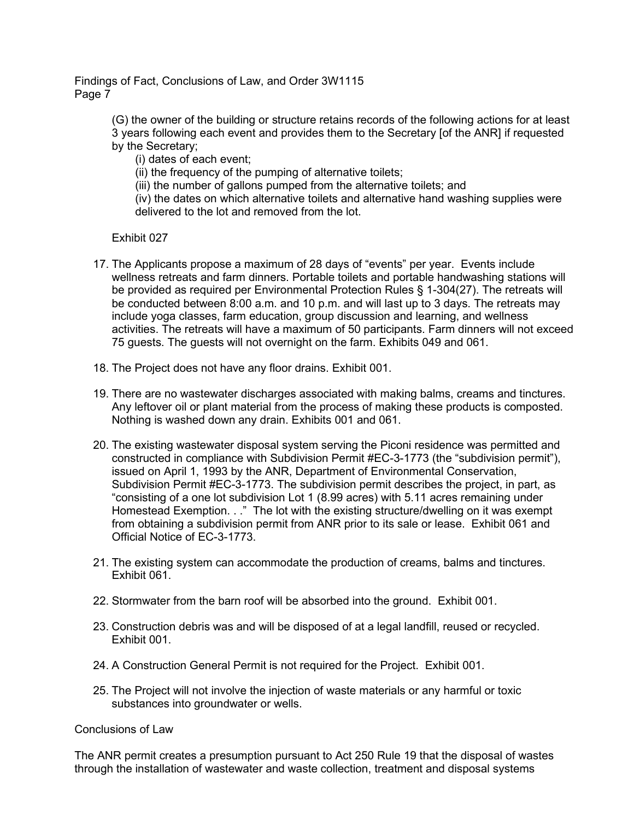> (G) the owner of the building or structure retains records of the following actions for at least 3 years following each event and provides them to the Secretary [of the ANR] if requested by the Secretary;

(i) dates of each event;

(ii) the frequency of the pumping of alternative toilets;

(iii) the number of gallons pumped from the alternative toilets; and

(iv) the dates on which alternative toilets and alternative hand washing supplies were delivered to the lot and removed from the lot.

Exhibit 027

- 17. The Applicants propose a maximum of 28 days of "events" per year. Events include wellness retreats and farm dinners. Portable toilets and portable handwashing stations will be provided as required per Environmental Protection Rules § 1-304(27). The retreats will be conducted between 8:00 a.m. and 10 p.m. and will last up to 3 days. The retreats may include yoga classes, farm education, group discussion and learning, and wellness activities. The retreats will have a maximum of 50 participants. Farm dinners will not exceed 75 guests. The guests will not overnight on the farm. Exhibits 049 and 061.
- 18. The Project does not have any floor drains. Exhibit 001.
- 19. There are no wastewater discharges associated with making balms, creams and tinctures. Any leftover oil or plant material from the process of making these products is composted. Nothing is washed down any drain. Exhibits 001 and 061.
- 20. The existing wastewater disposal system serving the Piconi residence was permitted and constructed in compliance with Subdivision Permit #EC-3-1773 (the "subdivision permit"), issued on April 1, 1993 by the ANR, Department of Environmental Conservation, Subdivision Permit #EC-3-1773. The subdivision permit describes the project, in part, as "consisting of a one lot subdivision Lot 1 (8.99 acres) with 5.11 acres remaining under Homestead Exemption. . ." The lot with the existing structure/dwelling on it was exempt from obtaining a subdivision permit from ANR prior to its sale or lease. Exhibit 061 and Official Notice of EC-3-1773.
- 21. The existing system can accommodate the production of creams, balms and tinctures. Exhibit 061.
- 22. Stormwater from the barn roof will be absorbed into the ground. Exhibit 001.
- 23. Construction debris was and will be disposed of at a legal landfill, reused or recycled. Exhibit 001.
- 24. A Construction General Permit is not required for the Project. Exhibit 001.
- 25. The Project will not involve the injection of waste materials or any harmful or toxic substances into groundwater or wells.

Conclusions of Law

The ANR permit creates a presumption pursuant to Act 250 Rule 19 that the disposal of wastes through the installation of wastewater and waste collection, treatment and disposal systems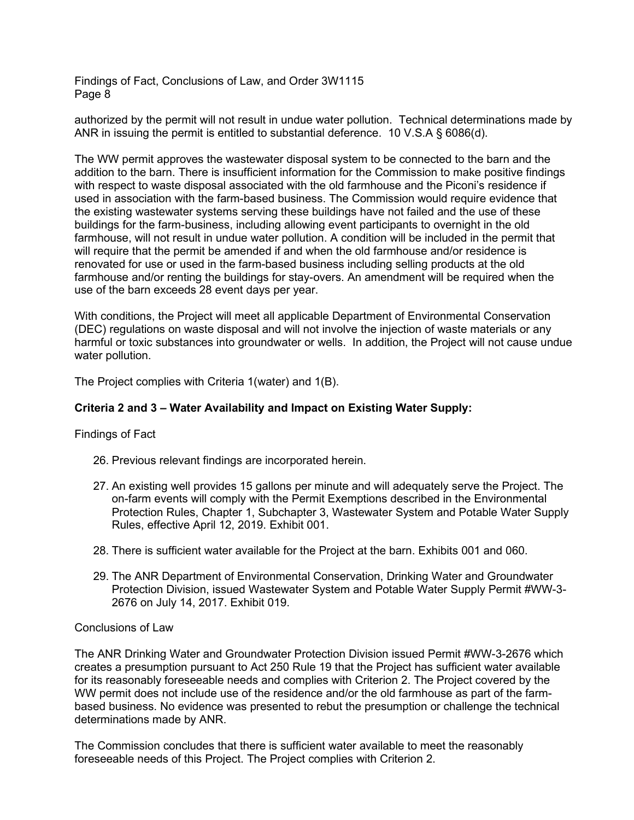authorized by the permit will not result in undue water pollution. Technical determinations made by ANR in issuing the permit is entitled to substantial deference. 10 V.S.A § 6086(d).

The WW permit approves the wastewater disposal system to be connected to the barn and the addition to the barn. There is insufficient information for the Commission to make positive findings with respect to waste disposal associated with the old farmhouse and the Piconi's residence if used in association with the farm-based business. The Commission would require evidence that the existing wastewater systems serving these buildings have not failed and the use of these buildings for the farm-business, including allowing event participants to overnight in the old farmhouse, will not result in undue water pollution. A condition will be included in the permit that will require that the permit be amended if and when the old farmhouse and/or residence is renovated for use or used in the farm-based business including selling products at the old farmhouse and/or renting the buildings for stay-overs. An amendment will be required when the use of the barn exceeds 28 event days per year.

With conditions, the Project will meet all applicable Department of Environmental Conservation (DEC) regulations on waste disposal and will not involve the injection of waste materials or any harmful or toxic substances into groundwater or wells. In addition, the Project will not cause undue water pollution.

The Project complies with Criteria 1(water) and 1(B).

## **Criteria 2 and 3 – Water Availability and Impact on Existing Water Supply:**

Findings of Fact

- 26. Previous relevant findings are incorporated herein.
- 27. An existing well provides 15 gallons per minute and will adequately serve the Project. The on-farm events will comply with the Permit Exemptions described in the Environmental Protection Rules, Chapter 1, Subchapter 3, Wastewater System and Potable Water Supply Rules, effective April 12, 2019. Exhibit 001.
- 28. There is sufficient water available for the Project at the barn. Exhibits 001 and 060.
- 29. The ANR Department of Environmental Conservation, Drinking Water and Groundwater Protection Division, issued Wastewater System and Potable Water Supply Permit #WW-3- 2676 on July 14, 2017. Exhibit 019.

Conclusions of Law

The ANR Drinking Water and Groundwater Protection Division issued Permit #WW-3-2676 which creates a presumption pursuant to Act 250 Rule 19 that the Project has sufficient water available for its reasonably foreseeable needs and complies with Criterion 2. The Project covered by the WW permit does not include use of the residence and/or the old farmhouse as part of the farmbased business. No evidence was presented to rebut the presumption or challenge the technical determinations made by ANR.

The Commission concludes that there is sufficient water available to meet the reasonably foreseeable needs of this Project. The Project complies with Criterion 2.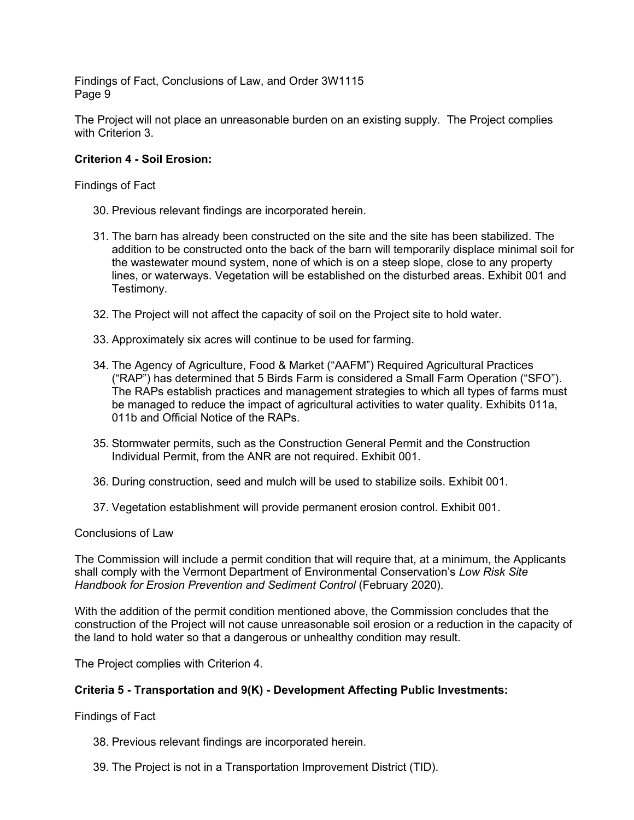The Project will not place an unreasonable burden on an existing supply. The Project complies with Criterion 3.

#### **Criterion 4 - Soil Erosion:**

#### Findings of Fact

- 30. Previous relevant findings are incorporated herein.
- 31. The barn has already been constructed on the site and the site has been stabilized. The addition to be constructed onto the back of the barn will temporarily displace minimal soil for the wastewater mound system, none of which is on a steep slope, close to any property lines, or waterways. Vegetation will be established on the disturbed areas. Exhibit 001 and Testimony.
- 32. The Project will not affect the capacity of soil on the Project site to hold water.
- 33. Approximately six acres will continue to be used for farming.
- 34. The Agency of Agriculture, Food & Market ("AAFM") Required Agricultural Practices ("RAP") has determined that 5 Birds Farm is considered a Small Farm Operation ("SFO"). The RAPs establish practices and management strategies to which all types of farms must be managed to reduce the impact of agricultural activities to water quality. Exhibits 011a, 011b and Official Notice of the RAPs.
- 35. Stormwater permits, such as the Construction General Permit and the Construction Individual Permit, from the ANR are not required. Exhibit 001.
- 36. During construction, seed and mulch will be used to stabilize soils. Exhibit 001.
- 37. Vegetation establishment will provide permanent erosion control. Exhibit 001.

## Conclusions of Law

The Commission will include a permit condition that will require that, at a minimum, the Applicants shall comply with the Vermont Department of Environmental Conservation's *Low Risk Site Handbook for Erosion Prevention and Sediment Control* (February 2020).

With the addition of the permit condition mentioned above, the Commission concludes that the construction of the Project will not cause unreasonable soil erosion or a reduction in the capacity of the land to hold water so that a dangerous or unhealthy condition may result.

The Project complies with Criterion 4.

## **Criteria 5 - Transportation and 9(K) - Development Affecting Public Investments:**

Findings of Fact

- 38. Previous relevant findings are incorporated herein.
- 39. The Project is not in a Transportation Improvement District (TID).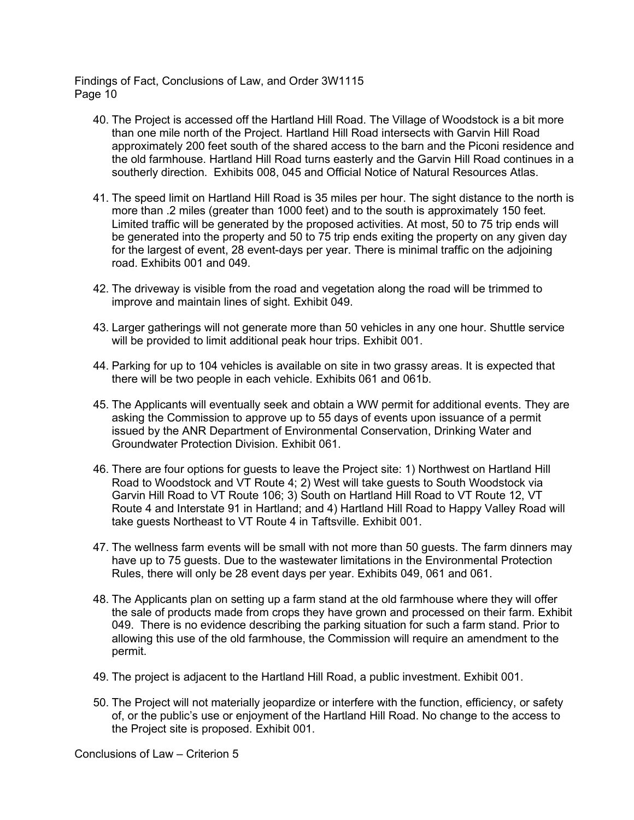- 40. The Project is accessed off the Hartland Hill Road. The Village of Woodstock is a bit more than one mile north of the Project. Hartland Hill Road intersects with Garvin Hill Road approximately 200 feet south of the shared access to the barn and the Piconi residence and the old farmhouse. Hartland Hill Road turns easterly and the Garvin Hill Road continues in a southerly direction. Exhibits 008, 045 and Official Notice of Natural Resources Atlas.
- 41. The speed limit on Hartland Hill Road is 35 miles per hour. The sight distance to the north is more than .2 miles (greater than 1000 feet) and to the south is approximately 150 feet. Limited traffic will be generated by the proposed activities. At most, 50 to 75 trip ends will be generated into the property and 50 to 75 trip ends exiting the property on any given day for the largest of event, 28 event-days per year. There is minimal traffic on the adjoining road. Exhibits 001 and 049.
- 42. The driveway is visible from the road and vegetation along the road will be trimmed to improve and maintain lines of sight. Exhibit 049.
- 43. Larger gatherings will not generate more than 50 vehicles in any one hour. Shuttle service will be provided to limit additional peak hour trips. Exhibit 001.
- 44. Parking for up to 104 vehicles is available on site in two grassy areas. It is expected that there will be two people in each vehicle. Exhibits 061 and 061b.
- 45. The Applicants will eventually seek and obtain a WW permit for additional events. They are asking the Commission to approve up to 55 days of events upon issuance of a permit issued by the ANR Department of Environmental Conservation, Drinking Water and Groundwater Protection Division. Exhibit 061.
- 46. There are four options for guests to leave the Project site: 1) Northwest on Hartland Hill Road to Woodstock and VT Route 4; 2) West will take guests to South Woodstock via Garvin Hill Road to VT Route 106; 3) South on Hartland Hill Road to VT Route 12, VT Route 4 and Interstate 91 in Hartland; and 4) Hartland Hill Road to Happy Valley Road will take guests Northeast to VT Route 4 in Taftsville. Exhibit 001.
- 47. The wellness farm events will be small with not more than 50 guests. The farm dinners may have up to 75 guests. Due to the wastewater limitations in the Environmental Protection Rules, there will only be 28 event days per year. Exhibits 049, 061 and 061.
- 48. The Applicants plan on setting up a farm stand at the old farmhouse where they will offer the sale of products made from crops they have grown and processed on their farm. Exhibit 049. There is no evidence describing the parking situation for such a farm stand. Prior to allowing this use of the old farmhouse, the Commission will require an amendment to the permit.
- 49. The project is adjacent to the Hartland Hill Road, a public investment. Exhibit 001.
- 50. The Project will not materially jeopardize or interfere with the function, efficiency, or safety of, or the public's use or enjoyment of the Hartland Hill Road. No change to the access to the Project site is proposed. Exhibit 001.

Conclusions of Law – Criterion 5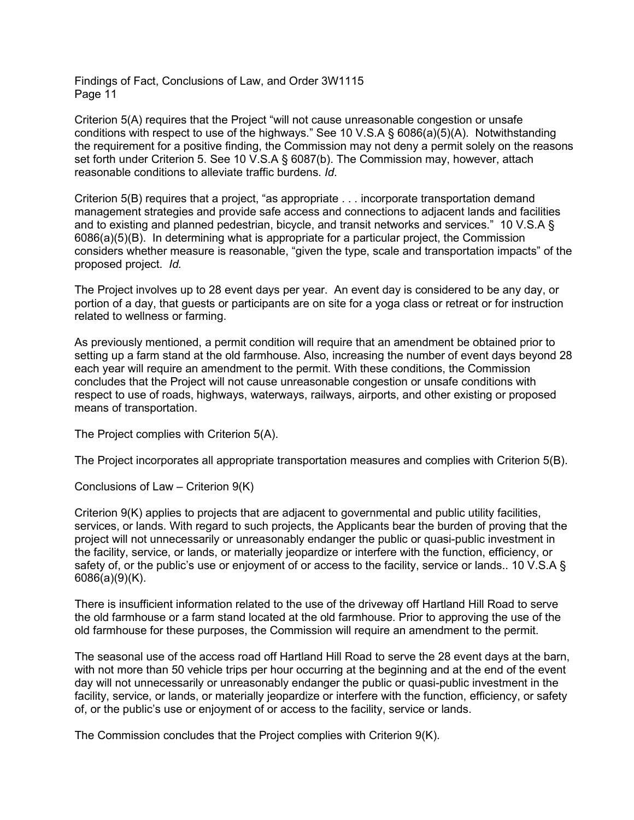Criterion 5(A) requires that the Project "will not cause unreasonable congestion or unsafe conditions with respect to use of the highways." See 10 V.S.A § 6086(a)(5)(A). Notwithstanding the requirement for a positive finding, the Commission may not deny a permit solely on the reasons set forth under Criterion 5. See 10 V.S.A § 6087(b). The Commission may, however, attach reasonable conditions to alleviate traffic burdens. *Id*.

Criterion 5(B) requires that a project, "as appropriate . . . incorporate transportation demand management strategies and provide safe access and connections to adjacent lands and facilities and to existing and planned pedestrian, bicycle, and transit networks and services." 10 V.S.A § 6086(a)(5)(B). In determining what is appropriate for a particular project, the Commission considers whether measure is reasonable, "given the type, scale and transportation impacts" of the proposed project. *Id.*

The Project involves up to 28 event days per year. An event day is considered to be any day, or portion of a day, that guests or participants are on site for a yoga class or retreat or for instruction related to wellness or farming.

As previously mentioned, a permit condition will require that an amendment be obtained prior to setting up a farm stand at the old farmhouse. Also, increasing the number of event days beyond 28 each year will require an amendment to the permit. With these conditions, the Commission concludes that the Project will not cause unreasonable congestion or unsafe conditions with respect to use of roads, highways, waterways, railways, airports, and other existing or proposed means of transportation.

The Project complies with Criterion 5(A).

The Project incorporates all appropriate transportation measures and complies with Criterion 5(B).

Conclusions of Law – Criterion 9(K)

Criterion 9(K) applies to projects that are adjacent to governmental and public utility facilities, services, or lands. With regard to such projects, the Applicants bear the burden of proving that the project will not unnecessarily or unreasonably endanger the public or quasi-public investment in the facility, service, or lands, or materially jeopardize or interfere with the function, efficiency, or safety of, or the public's use or enjoyment of or access to the facility, service or lands., 10 V.S.A § 6086(a)(9)(K).

There is insufficient information related to the use of the driveway off Hartland Hill Road to serve the old farmhouse or a farm stand located at the old farmhouse. Prior to approving the use of the old farmhouse for these purposes, the Commission will require an amendment to the permit.

The seasonal use of the access road off Hartland Hill Road to serve the 28 event days at the barn, with not more than 50 vehicle trips per hour occurring at the beginning and at the end of the event day will not unnecessarily or unreasonably endanger the public or quasi-public investment in the facility, service, or lands, or materially jeopardize or interfere with the function, efficiency, or safety of, or the public's use or enjoyment of or access to the facility, service or lands.

The Commission concludes that the Project complies with Criterion 9(K).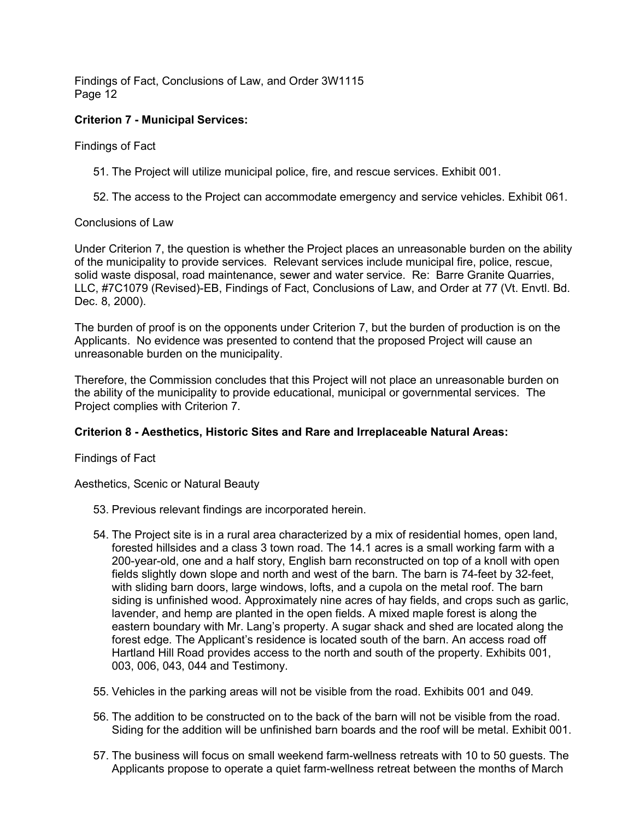## **Criterion 7 - Municipal Services:**

Findings of Fact

- 51. The Project will utilize municipal police, fire, and rescue services. Exhibit 001.
- 52. The access to the Project can accommodate emergency and service vehicles. Exhibit 061.

#### Conclusions of Law

Under Criterion 7, the question is whether the Project places an unreasonable burden on the ability of the municipality to provide services. Relevant services include municipal fire, police, rescue, solid waste disposal, road maintenance, sewer and water service. Re: Barre Granite Quarries, LLC, #7C1079 (Revised)-EB, Findings of Fact, Conclusions of Law, and Order at 77 (Vt. Envtl. Bd. Dec. 8, 2000).

The burden of proof is on the opponents under Criterion 7, but the burden of production is on the Applicants. No evidence was presented to contend that the proposed Project will cause an unreasonable burden on the municipality.

Therefore, the Commission concludes that this Project will not place an unreasonable burden on the ability of the municipality to provide educational, municipal or governmental services. The Project complies with Criterion 7.

## **Criterion 8 - Aesthetics, Historic Sites and Rare and Irreplaceable Natural Areas:**

Findings of Fact

Aesthetics, Scenic or Natural Beauty

- 53. Previous relevant findings are incorporated herein.
- 54. The Project site is in a rural area characterized by a mix of residential homes, open land, forested hillsides and a class 3 town road. The 14.1 acres is a small working farm with a 200-year-old, one and a half story, English barn reconstructed on top of a knoll with open fields slightly down slope and north and west of the barn. The barn is 74-feet by 32-feet, with sliding barn doors, large windows, lofts, and a cupola on the metal roof. The barn siding is unfinished wood. Approximately nine acres of hay fields, and crops such as garlic, lavender, and hemp are planted in the open fields. A mixed maple forest is along the eastern boundary with Mr. Lang's property. A sugar shack and shed are located along the forest edge. The Applicant's residence is located south of the barn. An access road off Hartland Hill Road provides access to the north and south of the property. Exhibits 001, 003, 006, 043, 044 and Testimony.
- 55. Vehicles in the parking areas will not be visible from the road. Exhibits 001 and 049.
- 56. The addition to be constructed on to the back of the barn will not be visible from the road. Siding for the addition will be unfinished barn boards and the roof will be metal. Exhibit 001.
- 57. The business will focus on small weekend farm-wellness retreats with 10 to 50 guests. The Applicants propose to operate a quiet farm-wellness retreat between the months of March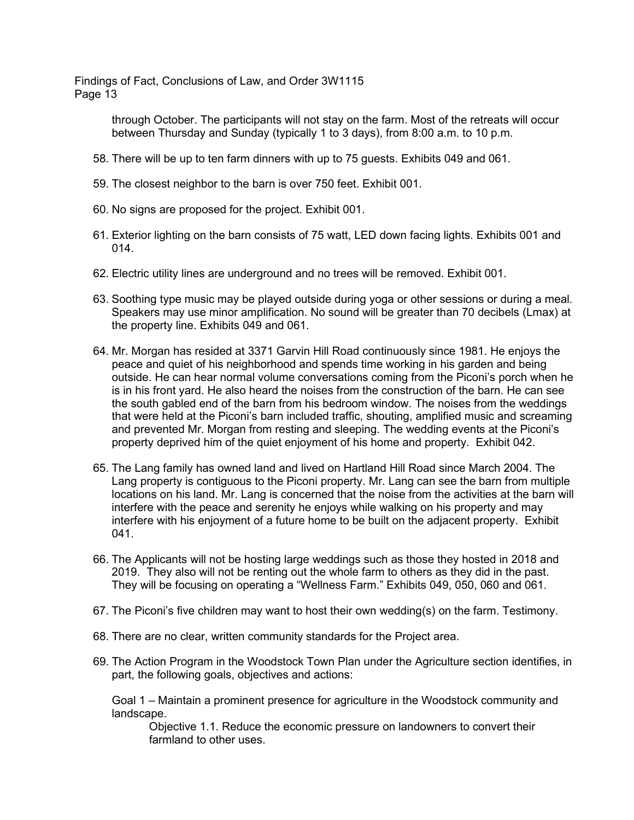> through October. The participants will not stay on the farm. Most of the retreats will occur between Thursday and Sunday (typically 1 to 3 days), from 8:00 a.m. to 10 p.m.

- 58. There will be up to ten farm dinners with up to 75 guests. Exhibits 049 and 061.
- 59. The closest neighbor to the barn is over 750 feet. Exhibit 001.
- 60. No signs are proposed for the project. Exhibit 001.
- 61. Exterior lighting on the barn consists of 75 watt, LED down facing lights. Exhibits 001 and 014.
- 62. Electric utility lines are underground and no trees will be removed. Exhibit 001.
- 63. Soothing type music may be played outside during yoga or other sessions or during a meal. Speakers may use minor amplification. No sound will be greater than 70 decibels (Lmax) at the property line. Exhibits 049 and 061.
- 64. Mr. Morgan has resided at 3371 Garvin Hill Road continuously since 1981. He enjoys the peace and quiet of his neighborhood and spends time working in his garden and being outside. He can hear normal volume conversations coming from the Piconi's porch when he is in his front yard. He also heard the noises from the construction of the barn. He can see the south gabled end of the barn from his bedroom window. The noises from the weddings that were held at the Piconi's barn included traffic, shouting, amplified music and screaming and prevented Mr. Morgan from resting and sleeping. The wedding events at the Piconi's property deprived him of the quiet enjoyment of his home and property. Exhibit 042.
- 65. The Lang family has owned land and lived on Hartland Hill Road since March 2004. The Lang property is contiguous to the Piconi property. Mr. Lang can see the barn from multiple locations on his land. Mr. Lang is concerned that the noise from the activities at the barn will interfere with the peace and serenity he enjoys while walking on his property and may interfere with his enjoyment of a future home to be built on the adjacent property. Exhibit 041.
- 66. The Applicants will not be hosting large weddings such as those they hosted in 2018 and 2019. They also will not be renting out the whole farm to others as they did in the past. They will be focusing on operating a "Wellness Farm." Exhibits 049, 050, 060 and 061.
- 67. The Piconi's five children may want to host their own wedding(s) on the farm. Testimony.
- 68. There are no clear, written community standards for the Project area.
- 69. The Action Program in the Woodstock Town Plan under the Agriculture section identifies, in part, the following goals, objectives and actions:

Goal 1 – Maintain a prominent presence for agriculture in the Woodstock community and landscape.

Objective 1.1. Reduce the economic pressure on landowners to convert their farmland to other uses.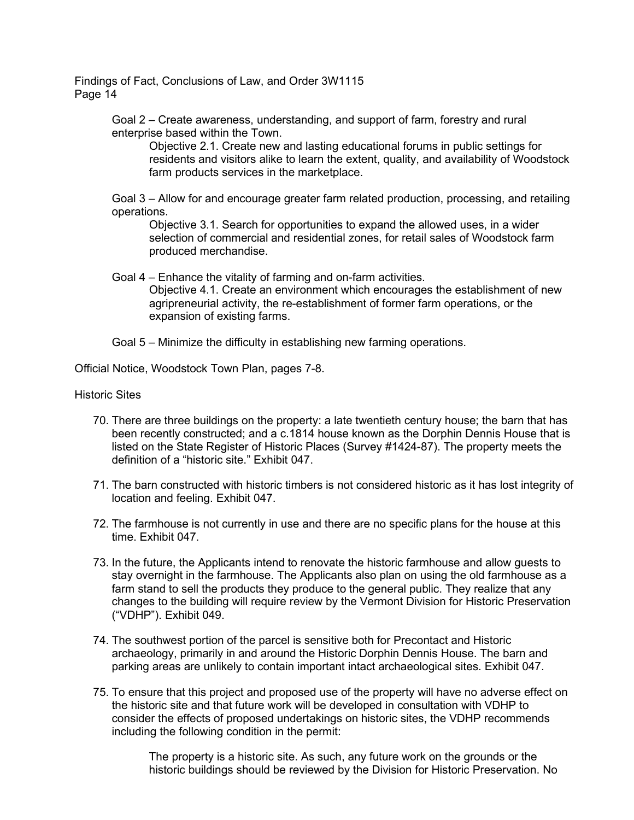> Goal 2 – Create awareness, understanding, and support of farm, forestry and rural enterprise based within the Town.

Objective 2.1. Create new and lasting educational forums in public settings for residents and visitors alike to learn the extent, quality, and availability of Woodstock farm products services in the marketplace.

Goal 3 – Allow for and encourage greater farm related production, processing, and retailing operations.

Objective 3.1. Search for opportunities to expand the allowed uses, in a wider selection of commercial and residential zones, for retail sales of Woodstock farm produced merchandise.

Goal 4 – Enhance the vitality of farming and on-farm activities. Objective 4.1. Create an environment which encourages the establishment of new agripreneurial activity, the re-establishment of former farm operations, or the expansion of existing farms.

Goal 5 – Minimize the difficulty in establishing new farming operations.

Official Notice, Woodstock Town Plan, pages 7-8.

#### Historic Sites

- 70. There are three buildings on the property: a late twentieth century house; the barn that has been recently constructed; and a c.1814 house known as the Dorphin Dennis House that is listed on the State Register of Historic Places (Survey #1424-87). The property meets the definition of a "historic site." Exhibit 047.
- 71. The barn constructed with historic timbers is not considered historic as it has lost integrity of location and feeling. Exhibit 047.
- 72. The farmhouse is not currently in use and there are no specific plans for the house at this time. Exhibit 047.
- 73. In the future, the Applicants intend to renovate the historic farmhouse and allow guests to stay overnight in the farmhouse. The Applicants also plan on using the old farmhouse as a farm stand to sell the products they produce to the general public. They realize that any changes to the building will require review by the Vermont Division for Historic Preservation ("VDHP"). Exhibit 049.
- 74. The southwest portion of the parcel is sensitive both for Precontact and Historic archaeology, primarily in and around the Historic Dorphin Dennis House. The barn and parking areas are unlikely to contain important intact archaeological sites. Exhibit 047.
- 75. To ensure that this project and proposed use of the property will have no adverse effect on the historic site and that future work will be developed in consultation with VDHP to consider the effects of proposed undertakings on historic sites, the VDHP recommends including the following condition in the permit:

The property is a historic site. As such, any future work on the grounds or the historic buildings should be reviewed by the Division for Historic Preservation. No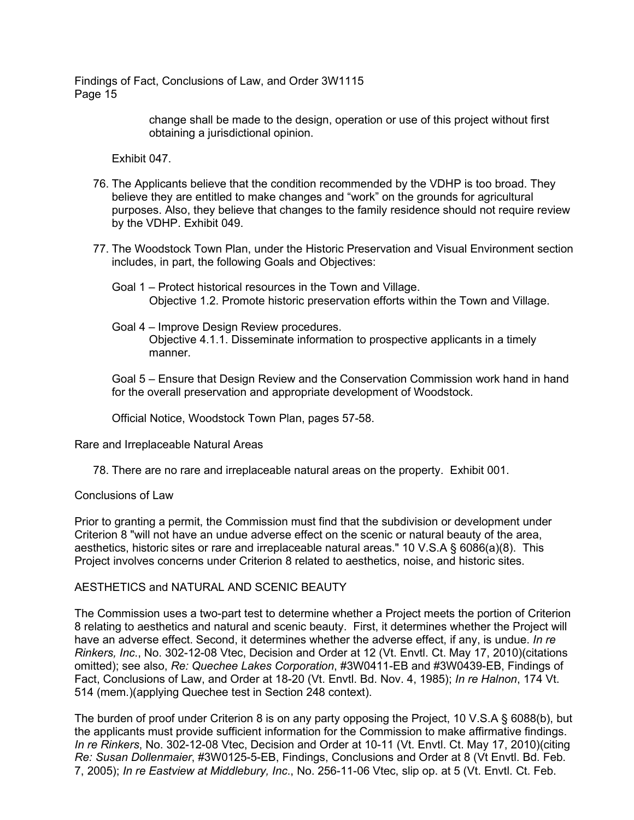> change shall be made to the design, operation or use of this project without first obtaining a jurisdictional opinion.

Exhibit 047.

- 76. The Applicants believe that the condition recommended by the VDHP is too broad. They believe they are entitled to make changes and "work" on the grounds for agricultural purposes. Also, they believe that changes to the family residence should not require review by the VDHP. Exhibit 049.
- 77. The Woodstock Town Plan, under the Historic Preservation and Visual Environment section includes, in part, the following Goals and Objectives:
	- Goal 1 Protect historical resources in the Town and Village. Objective 1.2. Promote historic preservation efforts within the Town and Village.
	- Goal 4 Improve Design Review procedures. Objective 4.1.1. Disseminate information to prospective applicants in a timely manner.

Goal 5 – Ensure that Design Review and the Conservation Commission work hand in hand for the overall preservation and appropriate development of Woodstock.

Official Notice, Woodstock Town Plan, pages 57-58.

Rare and Irreplaceable Natural Areas

78. There are no rare and irreplaceable natural areas on the property. Exhibit 001.

#### Conclusions of Law

Prior to granting a permit, the Commission must find that the subdivision or development under Criterion 8 "will not have an undue adverse effect on the scenic or natural beauty of the area, aesthetics, historic sites or rare and irreplaceable natural areas." 10 V.S.A § 6086(a)(8). This Project involves concerns under Criterion 8 related to aesthetics, noise, and historic sites.

#### AESTHETICS and NATURAL AND SCENIC BEAUTY

The Commission uses a two-part test to determine whether a Project meets the portion of Criterion 8 relating to aesthetics and natural and scenic beauty. First, it determines whether the Project will have an adverse effect. Second, it determines whether the adverse effect, if any, is undue. *In re Rinkers, Inc*., No. 302-12-08 Vtec, Decision and Order at 12 (Vt. Envtl. Ct. May 17, 2010)(citations omitted); see also, *Re: Quechee Lakes Corporation*, #3W0411-EB and #3W0439-EB, Findings of Fact, Conclusions of Law, and Order at 18-20 (Vt. Envtl. Bd. Nov. 4, 1985); *In re Halnon*, 174 Vt. 514 (mem.)(applying Quechee test in Section 248 context).

The burden of proof under Criterion 8 is on any party opposing the Project, 10 V.S.A § 6088(b), but the applicants must provide sufficient information for the Commission to make affirmative findings. *In re Rinkers*, No. 302-12-08 Vtec, Decision and Order at 10-11 (Vt. Envtl. Ct. May 17, 2010)(citing *Re: Susan Dollenmaier*, #3W0125-5-EB, Findings, Conclusions and Order at 8 (Vt Envtl. Bd. Feb. 7, 2005); *In re Eastview at Middlebury, Inc*., No. 256-11-06 Vtec, slip op. at 5 (Vt. Envtl. Ct. Feb.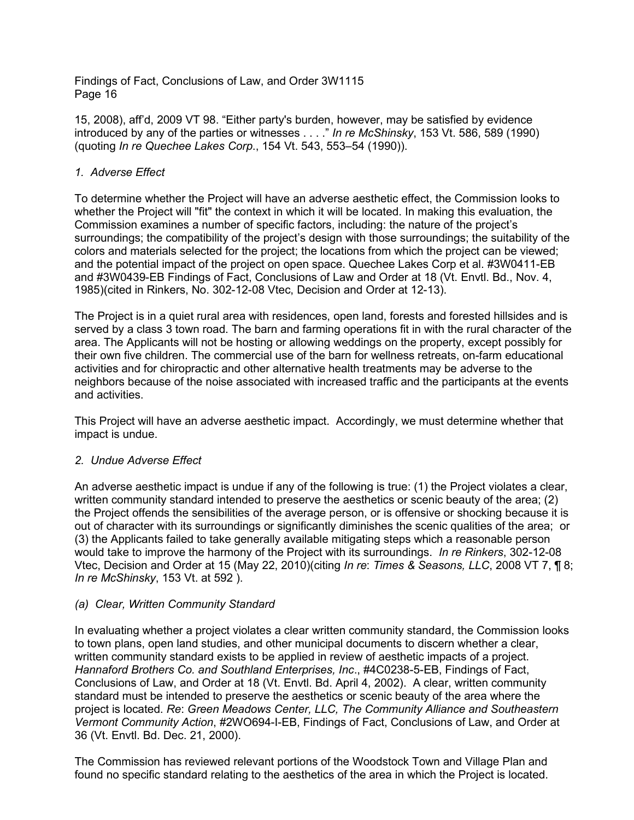15, 2008), aff'd, 2009 VT 98. "Either party's burden, however, may be satisfied by evidence introduced by any of the parties or witnesses . . . ." *In re McShinsky*, 153 Vt. 586, 589 (1990) (quoting *In re Quechee Lakes Corp*., 154 Vt. 543, 553–54 (1990)).

# *1. Adverse Effect*

To determine whether the Project will have an adverse aesthetic effect, the Commission looks to whether the Project will "fit" the context in which it will be located. In making this evaluation, the Commission examines a number of specific factors, including: the nature of the project's surroundings; the compatibility of the project's design with those surroundings; the suitability of the colors and materials selected for the project; the locations from which the project can be viewed; and the potential impact of the project on open space. Quechee Lakes Corp et al. #3W0411-EB and #3W0439-EB Findings of Fact, Conclusions of Law and Order at 18 (Vt. Envtl. Bd., Nov. 4, 1985)(cited in Rinkers, No. 302-12-08 Vtec, Decision and Order at 12-13).

The Project is in a quiet rural area with residences, open land, forests and forested hillsides and is served by a class 3 town road. The barn and farming operations fit in with the rural character of the area. The Applicants will not be hosting or allowing weddings on the property, except possibly for their own five children. The commercial use of the barn for wellness retreats, on-farm educational activities and for chiropractic and other alternative health treatments may be adverse to the neighbors because of the noise associated with increased traffic and the participants at the events and activities.

This Project will have an adverse aesthetic impact. Accordingly, we must determine whether that impact is undue.

## *2. Undue Adverse Effect*

An adverse aesthetic impact is undue if any of the following is true: (1) the Project violates a clear, written community standard intended to preserve the aesthetics or scenic beauty of the area; (2) the Project offends the sensibilities of the average person, or is offensive or shocking because it is out of character with its surroundings or significantly diminishes the scenic qualities of the area; or (3) the Applicants failed to take generally available mitigating steps which a reasonable person would take to improve the harmony of the Project with its surroundings. *In re Rinkers*, 302-12-08 Vtec, Decision and Order at 15 (May 22, 2010)(citing *In re*: *Times & Seasons, LLC*, 2008 VT 7, ¶ 8; *In re McShinsky*, 153 Vt. at 592 ).

## *(a) Clear, Written Community Standard*

In evaluating whether a project violates a clear written community standard, the Commission looks to town plans, open land studies, and other municipal documents to discern whether a clear, written community standard exists to be applied in review of aesthetic impacts of a project. *Hannaford Brothers Co. and Southland Enterprises, Inc*., #4C0238-5-EB, Findings of Fact, Conclusions of Law, and Order at 18 (Vt. Envtl. Bd. April 4, 2002). A clear, written community standard must be intended to preserve the aesthetics or scenic beauty of the area where the project is located. *Re*: *Green Meadows Center, LLC, The Community Alliance and Southeastern Vermont Community Action*, #2WO694-I-EB, Findings of Fact, Conclusions of Law, and Order at 36 (Vt. Envtl. Bd. Dec. 21, 2000).

The Commission has reviewed relevant portions of the Woodstock Town and Village Plan and found no specific standard relating to the aesthetics of the area in which the Project is located.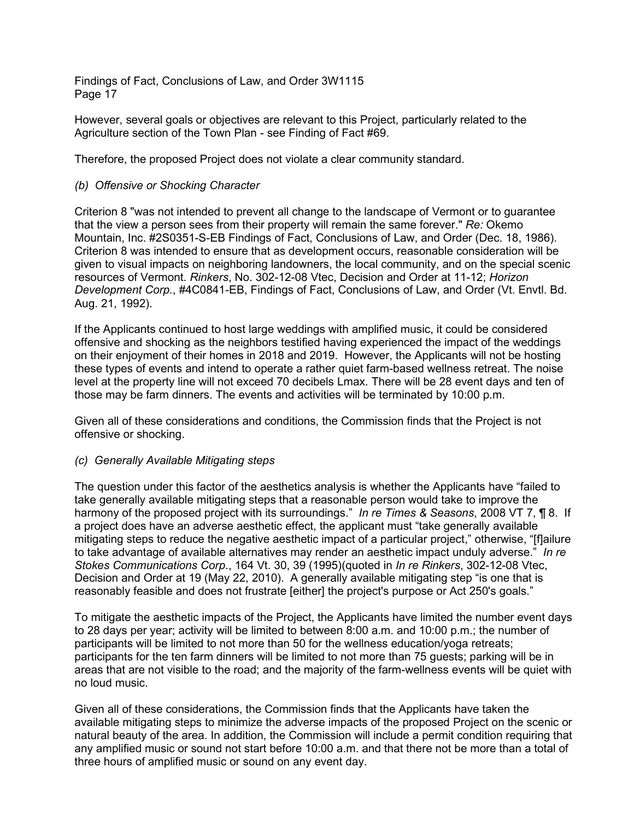However, several goals or objectives are relevant to this Project, particularly related to the Agriculture section of the Town Plan - see Finding of Fact #69.

Therefore, the proposed Project does not violate a clear community standard.

## *(b) Offensive or Shocking Character*

Criterion 8 "was not intended to prevent all change to the landscape of Vermont or to guarantee that the view a person sees from their property will remain the same forever." *Re:* Okemo Mountain, Inc. #2S0351-S-EB Findings of Fact, Conclusions of Law, and Order (Dec. 18, 1986). Criterion 8 was intended to ensure that as development occurs, reasonable consideration will be given to visual impacts on neighboring landowners, the local community, and on the special scenic resources of Vermont. *Rinkers*, No. 302-12-08 Vtec, Decision and Order at 11-12; *Horizon Development Corp.*, #4C0841-EB, Findings of Fact, Conclusions of Law, and Order (Vt. Envtl. Bd. Aug. 21, 1992).

If the Applicants continued to host large weddings with amplified music, it could be considered offensive and shocking as the neighbors testified having experienced the impact of the weddings on their enjoyment of their homes in 2018 and 2019. However, the Applicants will not be hosting these types of events and intend to operate a rather quiet farm-based wellness retreat. The noise level at the property line will not exceed 70 decibels Lmax. There will be 28 event days and ten of those may be farm dinners. The events and activities will be terminated by 10:00 p.m.

Given all of these considerations and conditions, the Commission finds that the Project is not offensive or shocking.

#### *(c) Generally Available Mitigating steps*

The question under this factor of the aesthetics analysis is whether the Applicants have "failed to take generally available mitigating steps that a reasonable person would take to improve the harmony of the proposed project with its surroundings." *In re Times & Seasons*, 2008 VT 7, ¶ 8. If a project does have an adverse aesthetic effect, the applicant must "take generally available mitigating steps to reduce the negative aesthetic impact of a particular project," otherwise, "[f]ailure to take advantage of available alternatives may render an aesthetic impact unduly adverse." *In re Stokes Communications Corp*., 164 Vt. 30, 39 (1995)(quoted in *In re Rinkers*, 302-12-08 Vtec, Decision and Order at 19 (May 22, 2010). A generally available mitigating step "is one that is reasonably feasible and does not frustrate [either] the project's purpose or Act 250's goals."

To mitigate the aesthetic impacts of the Project, the Applicants have limited the number event days to 28 days per year; activity will be limited to between 8:00 a.m. and 10:00 p.m.; the number of participants will be limited to not more than 50 for the wellness education/yoga retreats; participants for the ten farm dinners will be limited to not more than 75 guests; parking will be in areas that are not visible to the road; and the majority of the farm-wellness events will be quiet with no loud music.

Given all of these considerations, the Commission finds that the Applicants have taken the available mitigating steps to minimize the adverse impacts of the proposed Project on the scenic or natural beauty of the area. In addition, the Commission will include a permit condition requiring that any amplified music or sound not start before 10:00 a.m. and that there not be more than a total of three hours of amplified music or sound on any event day.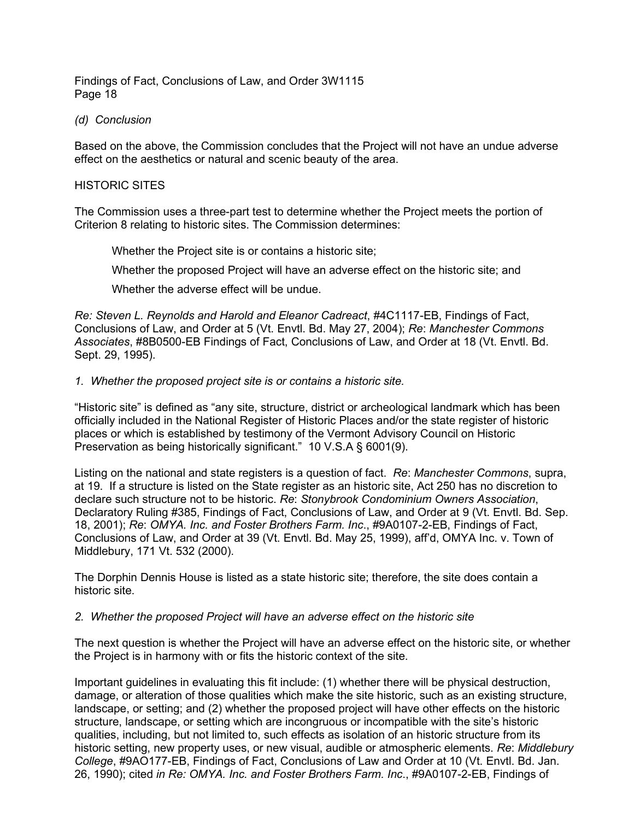#### *(d) Conclusion*

Based on the above, the Commission concludes that the Project will not have an undue adverse effect on the aesthetics or natural and scenic beauty of the area.

#### HISTORIC SITES

The Commission uses a three-part test to determine whether the Project meets the portion of Criterion 8 relating to historic sites. The Commission determines:

Whether the Project site is or contains a historic site;

Whether the proposed Project will have an adverse effect on the historic site; and

Whether the adverse effect will be undue.

*Re: Steven L. Reynolds and Harold and Eleanor Cadreact*, #4C1117-EB, Findings of Fact, Conclusions of Law, and Order at 5 (Vt. Envtl. Bd. May 27, 2004); *Re*: *Manchester Commons Associates*, #8B0500-EB Findings of Fact, Conclusions of Law, and Order at 18 (Vt. Envtl. Bd. Sept. 29, 1995).

#### *1. Whether the proposed project site is or contains a historic site.*

"Historic site" is defined as "any site, structure, district or archeological landmark which has been officially included in the National Register of Historic Places and/or the state register of historic places or which is established by testimony of the Vermont Advisory Council on Historic Preservation as being historically significant." 10 V.S.A § 6001(9).

Listing on the national and state registers is a question of fact. *Re*: *Manchester Commons*, supra, at 19. If a structure is listed on the State register as an historic site, Act 250 has no discretion to declare such structure not to be historic. *Re*: *Stonybrook Condominium Owners Association*, Declaratory Ruling #385, Findings of Fact, Conclusions of Law, and Order at 9 (Vt. Envtl. Bd. Sep. 18, 2001); *Re*: *OMYA. Inc. and Foster Brothers Farm. Inc*., #9A0107-2-EB, Findings of Fact, Conclusions of Law, and Order at 39 (Vt. Envtl. Bd. May 25, 1999), aff'd, OMYA Inc. v. Town of Middlebury, 171 Vt. 532 (2000).

The Dorphin Dennis House is listed as a state historic site; therefore, the site does contain a historic site.

## *2. Whether the proposed Project will have an adverse effect on the historic site*

The next question is whether the Project will have an adverse effect on the historic site, or whether the Project is in harmony with or fits the historic context of the site.

Important guidelines in evaluating this fit include: (1) whether there will be physical destruction, damage, or alteration of those qualities which make the site historic, such as an existing structure, landscape, or setting; and (2) whether the proposed project will have other effects on the historic structure, landscape, or setting which are incongruous or incompatible with the site's historic qualities, including, but not limited to, such effects as isolation of an historic structure from its historic setting, new property uses, or new visual, audible or atmospheric elements. *Re*: *Middlebury College*, #9AO177-EB, Findings of Fact, Conclusions of Law and Order at 10 (Vt. Envtl. Bd. Jan. 26, 1990); cited *in Re: OMYA. Inc. and Foster Brothers Farm. Inc*., #9A0107-2-EB, Findings of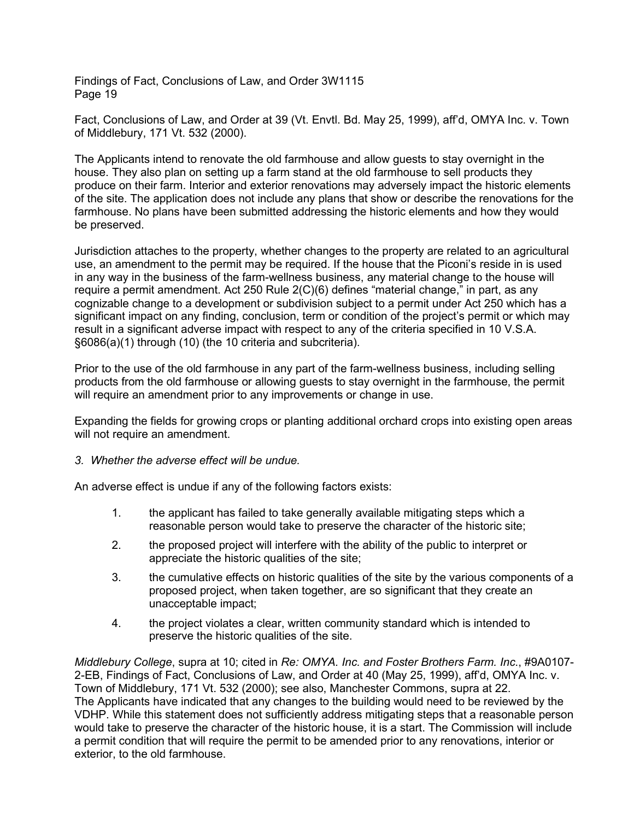Fact, Conclusions of Law, and Order at 39 (Vt. Envtl. Bd. May 25, 1999), aff'd, OMYA Inc. v. Town of Middlebury, 171 Vt. 532 (2000).

The Applicants intend to renovate the old farmhouse and allow guests to stay overnight in the house. They also plan on setting up a farm stand at the old farmhouse to sell products they produce on their farm. Interior and exterior renovations may adversely impact the historic elements of the site. The application does not include any plans that show or describe the renovations for the farmhouse. No plans have been submitted addressing the historic elements and how they would be preserved.

Jurisdiction attaches to the property, whether changes to the property are related to an agricultural use, an amendment to the permit may be required. If the house that the Piconi's reside in is used in any way in the business of the farm-wellness business, any material change to the house will require a permit amendment. Act 250 Rule 2(C)(6) defines "material change," in part, as any cognizable change to a development or subdivision subject to a permit under Act 250 which has a significant impact on any finding, conclusion, term or condition of the project's permit or which may result in a significant adverse impact with respect to any of the criteria specified in 10 V.S.A. §6086(a)(1) through (10) (the 10 criteria and subcriteria).

Prior to the use of the old farmhouse in any part of the farm-wellness business, including selling products from the old farmhouse or allowing guests to stay overnight in the farmhouse, the permit will require an amendment prior to any improvements or change in use.

Expanding the fields for growing crops or planting additional orchard crops into existing open areas will not require an amendment.

*3. Whether the adverse effect will be undue.*

An adverse effect is undue if any of the following factors exists:

- 1. the applicant has failed to take generally available mitigating steps which a reasonable person would take to preserve the character of the historic site;
- 2. the proposed project will interfere with the ability of the public to interpret or appreciate the historic qualities of the site;
- 3. the cumulative effects on historic qualities of the site by the various components of a proposed project, when taken together, are so significant that they create an unacceptable impact;
- 4. the project violates a clear, written community standard which is intended to preserve the historic qualities of the site.

*Middlebury College*, supra at 10; cited in *Re: OMYA. Inc. and Foster Brothers Farm. Inc*., #9A0107- 2-EB, Findings of Fact, Conclusions of Law, and Order at 40 (May 25, 1999), aff'd, OMYA Inc. v. Town of Middlebury, 171 Vt. 532 (2000); see also, Manchester Commons, supra at 22. The Applicants have indicated that any changes to the building would need to be reviewed by the VDHP. While this statement does not sufficiently address mitigating steps that a reasonable person would take to preserve the character of the historic house, it is a start. The Commission will include a permit condition that will require the permit to be amended prior to any renovations, interior or exterior, to the old farmhouse.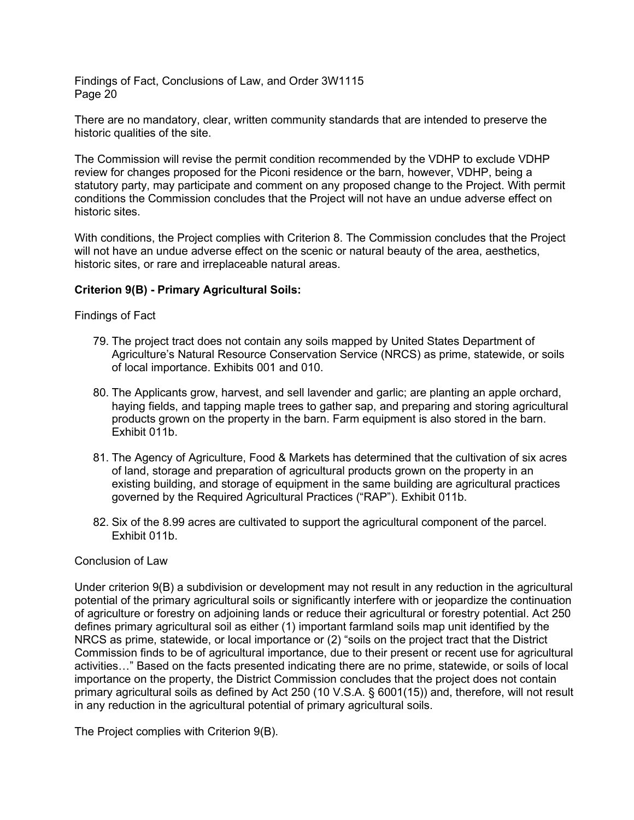There are no mandatory, clear, written community standards that are intended to preserve the historic qualities of the site.

The Commission will revise the permit condition recommended by the VDHP to exclude VDHP review for changes proposed for the Piconi residence or the barn, however, VDHP, being a statutory party, may participate and comment on any proposed change to the Project. With permit conditions the Commission concludes that the Project will not have an undue adverse effect on historic sites.

With conditions, the Project complies with Criterion 8. The Commission concludes that the Project will not have an undue adverse effect on the scenic or natural beauty of the area, aesthetics, historic sites, or rare and irreplaceable natural areas.

## **Criterion 9(B) - Primary Agricultural Soils:**

Findings of Fact

- 79. The project tract does not contain any soils mapped by United States Department of Agriculture's Natural Resource Conservation Service (NRCS) as prime, statewide, or soils of local importance. Exhibits 001 and 010.
- 80. The Applicants grow, harvest, and sell lavender and garlic; are planting an apple orchard, haying fields, and tapping maple trees to gather sap, and preparing and storing agricultural products grown on the property in the barn. Farm equipment is also stored in the barn. Exhibit 011b.
- 81. The Agency of Agriculture, Food & Markets has determined that the cultivation of six acres of land, storage and preparation of agricultural products grown on the property in an existing building, and storage of equipment in the same building are agricultural practices governed by the Required Agricultural Practices ("RAP"). Exhibit 011b.
- 82. Six of the 8.99 acres are cultivated to support the agricultural component of the parcel. Exhibit 011b.

#### Conclusion of Law

Under criterion 9(B) a subdivision or development may not result in any reduction in the agricultural potential of the primary agricultural soils or significantly interfere with or jeopardize the continuation of agriculture or forestry on adjoining lands or reduce their agricultural or forestry potential. Act 250 defines primary agricultural soil as either (1) important farmland soils map unit identified by the NRCS as prime, statewide, or local importance or (2) "soils on the project tract that the District Commission finds to be of agricultural importance, due to their present or recent use for agricultural activities…" Based on the facts presented indicating there are no prime, statewide, or soils of local importance on the property, the District Commission concludes that the project does not contain primary agricultural soils as defined by Act 250 (10 V.S.A. § 6001(15)) and, therefore, will not result in any reduction in the agricultural potential of primary agricultural soils.

The Project complies with Criterion 9(B).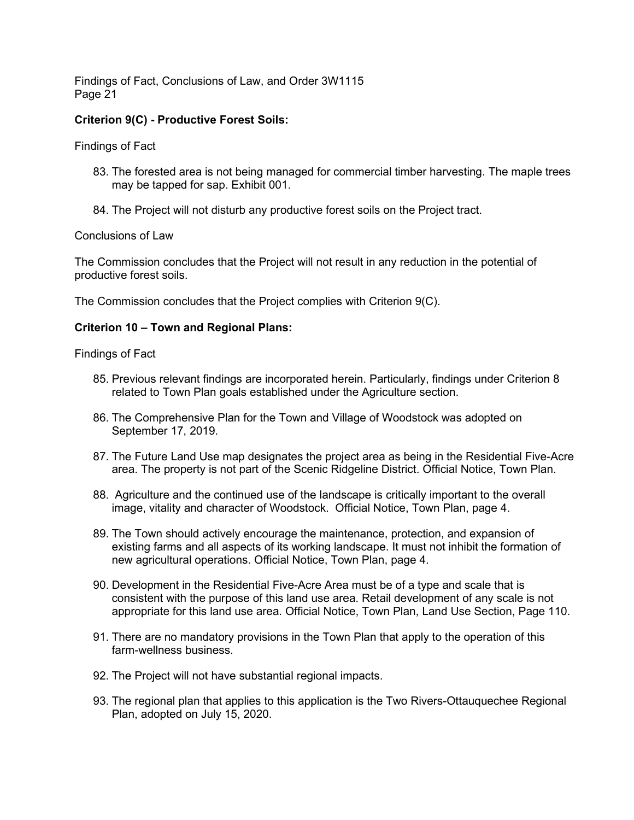## **Criterion 9(C) - Productive Forest Soils:**

Findings of Fact

- 83. The forested area is not being managed for commercial timber harvesting. The maple trees may be tapped for sap. Exhibit 001.
- 84. The Project will not disturb any productive forest soils on the Project tract.

Conclusions of Law

The Commission concludes that the Project will not result in any reduction in the potential of productive forest soils.

The Commission concludes that the Project complies with Criterion 9(C).

## **Criterion 10 – Town and Regional Plans:**

#### Findings of Fact

- 85. Previous relevant findings are incorporated herein. Particularly, findings under Criterion 8 related to Town Plan goals established under the Agriculture section.
- 86. The Comprehensive Plan for the Town and Village of Woodstock was adopted on September 17, 2019.
- 87. The Future Land Use map designates the project area as being in the Residential Five-Acre area. The property is not part of the Scenic Ridgeline District. Official Notice, Town Plan.
- 88. Agriculture and the continued use of the landscape is critically important to the overall image, vitality and character of Woodstock. Official Notice, Town Plan, page 4.
- 89. The Town should actively encourage the maintenance, protection, and expansion of existing farms and all aspects of its working landscape. It must not inhibit the formation of new agricultural operations. Official Notice, Town Plan, page 4.
- 90. Development in the Residential Five-Acre Area must be of a type and scale that is consistent with the purpose of this land use area. Retail development of any scale is not appropriate for this land use area. Official Notice, Town Plan, Land Use Section, Page 110.
- 91. There are no mandatory provisions in the Town Plan that apply to the operation of this farm-wellness business.
- 92. The Project will not have substantial regional impacts.
- 93. The regional plan that applies to this application is the Two Rivers-Ottauquechee Regional Plan, adopted on July 15, 2020.